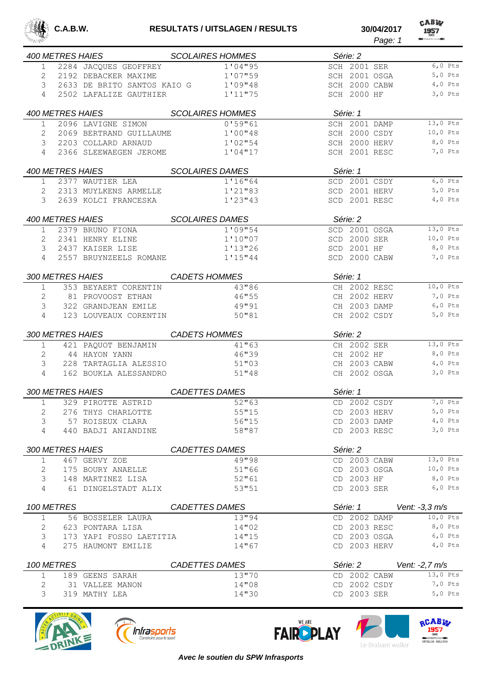

CABW *Page: 1*

|                |            |                                                | 400 METRES HAIES SCOLAIRES HOMMES | Série: 2                     |                            |
|----------------|------------|------------------------------------------------|-----------------------------------|------------------------------|----------------------------|
| 1              |            | 2284 JACQUES GEOFFREY                          | 1'04"95                           | SCH 2001 SER                 | $6,0 \text{ Pts}$          |
| 2              |            | 2192 DEBACKER MAXIME                           | 1'07"59                           | SCH 2001 OSGA                | 5,0 Pts                    |
| 3              |            | 2633 DE BRITO SANTOS KAIO G                    | 1'09"48                           | SCH 2000 CABW                | $4,0$ Pts                  |
| 4              |            | 2502 LAFALIZE GAUTHIER                         | 1'11"75                           | SCH 2000 HF                  | $3,0$ Pts                  |
|                |            | 400 METRES HAIES                               | <b>SCOLAIRES HOMMES</b>           | Série: 1                     |                            |
| $\mathbf{1}$   |            | 2096 LAVIGNE SIMON                             | 0'59''61                          | SCH 2001 DAMP                | 13,0 Pts                   |
| 2              |            | 2069 BERTRAND GUILLAUME                        | 1'00"48                           | SCH 2000 CSDY                | 10,0 Pts                   |
| 3              |            | 2203 COLLARD ARNAUD                            | 1'02"54                           | SCH 2000 HERV                | 8,0 Pts                    |
| 4              |            | 2366 SLEEWAEGEN JEROME                         | 1'04''17                          | SCH 2001 RESC                | 7,0 Pts                    |
|                |            | 400 METRES HAIES SCOLAIRES DAMES               |                                   | Série: 1                     |                            |
| $\mathbf{1}$   |            | 2377 WAUTIER LEA                               | 1'16''64                          |                              | SCD 2001 CSDY<br>$6,0$ Pts |
| 2              |            | 2313 MUYLKENS ARMELLE                          | 1'21"83                           | SCD 2001 HERV                | $5,0$ Pts                  |
| 3              |            | 2639 KOLCI FRANCESKA                           | 1'23''43                          |                              | SCD 2001 RESC<br>$4,0$ Pts |
|                |            | <i>400 METRES HAIES</i>                        | <b>SCOLAIRES DAMES</b>            | Série: 2                     |                            |
| 1              |            | 2379 BRUNO FIONA                               | 1'09"54                           | SCD 2001 OSGA                | $13,0$ Pts                 |
| 2              |            | 2341 HENRY ELINE                               | 1'10''07                          | SCD 2000 SER                 | $10,0$ Pts                 |
| 3              |            | 2437 KAISER LISE                               | 1'13"26                           | SCD 2001 HF                  | 8,0 Pts                    |
| 4              |            | 2557 BRUYNZEELS ROMANE                         | 1'15''44                          | SCD 2000 CABW                | 7,0 Pts                    |
|                |            | 300 METRES HAIES                               | <b>CADETS HOMMES</b>              | Série: 1                     |                            |
| $\mathbf{1}$   |            | 353 BEYAERT CORENTIN                           | 43"86                             | CH 2002 RESC                 | $10,0$ Pts                 |
| $\overline{2}$ |            | 81 PROVOOST ETHAN                              | 46"55                             | CH 2002 HERV                 | 7,0 Pts                    |
| 3              |            | 322 GRANDJEAN EMILE                            | 49"91                             | CH 2003 DAMP                 | $6,0$ Pts                  |
| 4              |            | 123 LOUVEAUX CORENTIN                          | 50''81                            | CH 2002 CSDY                 | $5,0$ Pts                  |
|                |            | 300 METRES HAIES CADETS HOMMES                 |                                   | Série: 2                     |                            |
|                |            |                                                |                                   |                              |                            |
| $\mathbf{1}$   |            |                                                |                                   |                              | 13,0 Pts                   |
|                |            | 421 PAQUOT BENJAMIN                            | 41"63                             | CH 2002 SER                  | 8,0 Pts                    |
| 2<br>3         |            | 44 HAYON YANN                                  | 46"39                             | CH 2002 HF                   | $4,0$ Pts                  |
| 4              |            | 228 TARTAGLIA ALESSIO<br>162 BOUKLA ALESSANDRO | 51"03<br>51''48                   | CH 2003 CABW<br>CH 2002 OSGA | 3,0 Pts                    |
|                |            |                                                |                                   |                              |                            |
|                |            | 300 METRES HAIES                               | CADETTES DAMES                    | Série: 1                     |                            |
| 1              |            | 329 PIROTTE ASTRID                             | 52"63                             | CD 2002 CSDY                 | 7,0 Pts                    |
| 2              |            | 276 THYS CHARLOTTE                             | 55"15                             | CD 2003 HERV                 | $5,0$ Pts                  |
| 3<br>4         |            | 57 ROISEUX CLARA<br>440 BADJI ANIANDINE        | 56''15<br>58"87                   | CD 2003 DAMP<br>CD 2003 RESC | $4,0$ Pts<br>$3,0$ Pts     |
|                |            |                                                |                                   |                              |                            |
|                |            | <i>300 METRES HAIES</i>                        | CADETTES DAMES                    | Série: 2                     |                            |
| $\mathbf{1}$   |            | 467 GERVY ZOE                                  | 49"98                             | CD 2003 CABW                 | 13,0 Pts                   |
| 2              |            | 175 BOURY ANAELLE                              | 51"66                             | CD 2003 OSGA                 | $10,0$ Pts                 |
| 3<br>4         |            | 148 MARTINEZ LISA<br>61 DINGELSTADT ALIX       | 52"61<br>53"51                    | CD 2003 HF                   | 8,0 Pts<br>$6,0$ Pts       |
|                |            |                                                |                                   | CD 2003 SER                  |                            |
|                | 100 METRES |                                                | <i>CADETTES DAMES</i>             | Série: 1                     | Vent: -3,3 m/s             |
| $\mathbf 1$    |            | 56 BOSSELER LAURA                              | 13"94                             | CD 2002 DAMP                 | 10,0 Pts                   |
| 2              |            | 623 PONTARA LISA                               | 14"02                             | CD 2003 RESC                 | 8,0 Pts                    |
| 3              |            | 173 YAPI FOSSO LAETITIA                        | 14"15                             | CD 2003 OSGA                 | $6,0$ Pts                  |
| 4              |            | 275 HAUMONT EMILIE                             | 14"67                             | CD 2003 HERV                 | $4,0$ Pts                  |
|                | 100 METRES |                                                | CADETTES DAMES                    | Série: 2                     | Vent: $-2,7$ m/s           |
| $\mathbf{1}$   |            | 189 GEENS SARAH                                | 13"70                             | CD 2002 CABW                 | 13,0 Pts                   |
| 2              |            | 31 VALLEE MANON                                | 14"08                             | CD 2002 CSDY<br>CD 2003 SER  | 7,0 Pts                    |







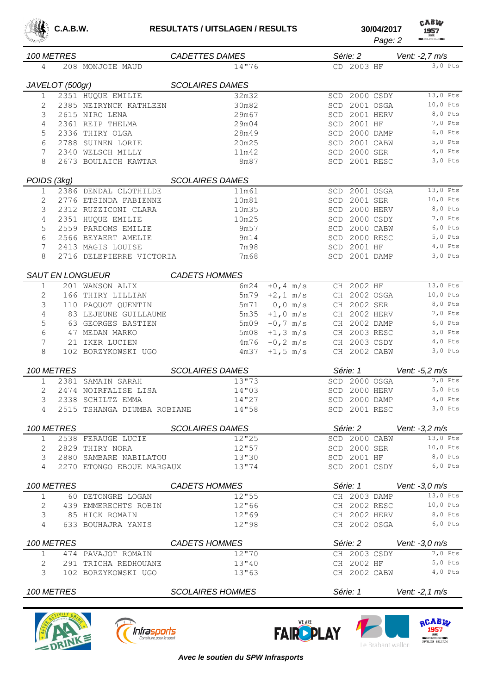

| саци<br>v |
|-----------|
| 1957      |
|           |

| 이상 등장          |                 |                                               |                         |                               |            |                            | Page: 2                | <b>REAL ATHLETIC CLUBERS</b> |
|----------------|-----------------|-----------------------------------------------|-------------------------|-------------------------------|------------|----------------------------|------------------------|------------------------------|
|                | 100 METRES      |                                               | <b>CADETTES DAMES</b>   |                               |            | Série: 2                   |                        | Vent: -2,7 m/s               |
| 4              |                 | 208 MONJOIE MAUD                              | 14"76                   |                               |            | CD 2003 HF                 |                        | $3,0$ Pts                    |
|                |                 |                                               |                         |                               |            |                            |                        |                              |
|                | JAVELOT (500gr) |                                               | <b>SCOLAIRES DAMES</b>  |                               |            |                            |                        |                              |
| 1              |                 | 2351 HUQUE EMILIE                             | 32m32                   |                               | SCD        |                            | 2000 CSDY<br>2001 OSGA | 13,0 Pts<br>$10,0$ Pts       |
| 2<br>3         |                 | 2385 NEIRYNCK KATHLEEN<br>2615 NIRO LENA      | 30m82<br>29m67          |                               | SCD<br>SCD |                            | 2001 HERV              | 8,0 Pts                      |
| 4              |                 | 2361 REIP THELMA                              | 29m04                   |                               | SCD        | 2001 HF                    |                        | 7,0 Pts                      |
| 5              |                 | 2336 THIRY OLGA                               | 28m49                   |                               | SCD        |                            | 2000 DAMP              | $6,0$ Pts                    |
| 6              |                 | 2788 SUINEN LORIE                             | 20m25                   |                               | SCD        |                            | 2001 CABW              | $5,0$ Pts                    |
| 7              |                 | 2340 WELSCH MILLY                             | 11m42                   |                               | <b>SCD</b> | 2000 SER                   |                        | $4,0$ Pts                    |
| 8              |                 | 2673 BOULAICH KAWTAR                          | 8m87                    |                               | SCD        | 2001 RESC                  |                        | $3,0$ Pts                    |
|                |                 |                                               |                         |                               |            |                            |                        |                              |
| POIDS (3kg)    |                 |                                               | <b>SCOLAIRES DAMES</b>  |                               |            |                            |                        | 13,0 Pts                     |
| 1              |                 | 2386 DENDAL CLOTHILDE                         | 11m61<br>10m81          |                               | <b>SCD</b> |                            | 2001 OSGA              | 10,0 Pts                     |
| 2<br>3         |                 | 2776 ETSINDA FABIENNE<br>2312 RUZZICONI CLARA |                         |                               | SCD        | 2001 SER                   | 2000 HERV              | 8,0 Pts                      |
| 4              |                 | 2351 HUQUE EMILIE                             | 10m35                   |                               | SCD<br>SCD |                            | 2000 CSDY              | 7,0 Pts                      |
| 5              |                 | 2559 PARDOMS EMILIE                           | 10m25<br>9m57           |                               | SCD        |                            | 2000 CABW              | $6,0$ Pts                    |
| 6              |                 | 2566 BEYAERT AMELIE                           | 9m14                    |                               | SCD        |                            | 2000 RESC              | $5,0$ Pts                    |
| 7              |                 | 2413 MAGIS LOUISE                             | 7m98                    |                               | <b>SCD</b> | 2001 HF                    |                        | $4,0$ Pts                    |
| 8              |                 | 2716 DELEPIERRE VICTORIA                      | 7m68                    |                               | <b>SCD</b> | 2001 DAMP                  |                        | $3,0$ Pts                    |
|                |                 |                                               |                         |                               |            |                            |                        |                              |
|                |                 | <b>SAUT EN LONGUEUR</b>                       | <b>CADETS HOMMES</b>    |                               |            |                            |                        |                              |
| $\mathbf{1}$   |                 | 201 WANSON ALIX                               | 6m24                    | $+0, 4$ m/s                   |            | CH 2002 HF                 |                        | 13,0 Pts                     |
| $\overline{2}$ |                 | 166 THIRY LILLIAN                             | 5m79                    | $+2, 1$ m/s                   |            | CH 2002 OSGA               |                        | 10,0 Pts                     |
| 3              |                 | 110 PAQUOT QUENTIN                            | 5m71                    | $0, 0 \text{ m/s}$            |            | CH 2002 SER                |                        | 8,0 Pts                      |
| 4              |                 | 83 LEJEUNE GUILLAUME                          | 5m35                    | $+1,0$ m/s                    | CH         | 2002 HERV                  |                        | 7,0 Pts                      |
| 5              |                 | 63 GEORGES BASTIEN                            | 5m09                    | $-0,7$ m/s                    | CH         |                            | 2002 DAMP              | $6,0$ Pts                    |
| 6              |                 | 47 MEDAN MARKO                                | 5m08                    | $+1, 3$ m/s                   | CH         | 2003 RESC                  |                        | $5,0$ Pts                    |
| 7<br>8         |                 | 21 IKER LUCIEN<br>102 BORZYKOWSKI UGO         | 4m76<br>4m37            | $-0, 2 \, m/s$<br>$+1, 5$ m/s | CH         | 2003 CSDY<br>CH 2002 CABW  |                        | $4,0$ Pts<br>$3,0$ Pts       |
|                |                 |                                               |                         |                               |            |                            |                        |                              |
|                | 100 METRES      |                                               | <b>SCOLAIRES DAMES</b>  |                               |            | Série: 1                   |                        | Vent: -5,2 m/s               |
| 1              |                 | 2381 SAMAIN SARAH                             | 13"73                   |                               | SCD        |                            | 2000 OSGA              | 7,0 Pts                      |
| 2              |                 | 2474 NOIRFALISE LISA                          | 14"03                   |                               | SCD        |                            | 2000 HERV              | $5,0$ Pts                    |
| 3              | 2338            | SCHILTZ EMMA                                  | 14"27                   |                               | SCD        |                            | 2000 DAMP              | $4,0$ Pts                    |
| 4              |                 | 2515 TSHANGA DIUMBA ROBIANE                   | 14"58                   |                               |            | SCD 2001 RESC              |                        | $3,0$ Pts                    |
|                | 100 METRES      |                                               | <b>SCOLAIRES DAMES</b>  |                               |            | Série: 2                   |                        | Vent: $-3.2$ m/s             |
| 1              |                 | 2538 FERAUGE LUCIE                            | 12''25                  |                               |            | SCD 2000 CABW              |                        | 13,0 Pts                     |
| 2              |                 | 2829 THIRY NORA                               | 12"57                   |                               |            | SCD 2000 SER               |                        | 10,0 Pts                     |
| 3              |                 | 2880 SAMBARE NABILATOU                        | 13"30                   |                               |            | SCD 2001 HF                |                        | 8,0 Pts                      |
| 4              |                 | 2270 ETONGO EBOUE MARGAUX                     | 13"74                   |                               |            | SCD 2001 CSDY              |                        | $6,0$ Pts                    |
|                | 100 METRES      |                                               | <b>CADETS HOMMES</b>    |                               |            | Série: 1                   |                        | Vent: -3,0 m/s               |
| 1              |                 | 60 DETONGRE LOGAN                             | 12"55                   |                               |            | CH 2003 DAMP               |                        | 13,0 Pts                     |
| 2              |                 | 439 EMMERECHTS ROBIN                          | 12"66                   |                               |            | CH 2002 RESC               |                        | 10,0 Pts                     |
| 3              |                 | 85 HICK ROMAIN                                | 12"69                   |                               |            |                            | CH 2002 HERV           | 8,0 Pts                      |
| 4              |                 | 633 BOUHAJRA YANIS                            | 12"98                   |                               |            |                            | CH 2002 OSGA           | $6,0$ Pts                    |
|                |                 |                                               |                         |                               |            |                            |                        |                              |
|                | 100 METRES      |                                               | <b>CADETS HOMMES</b>    |                               |            | Série: 2                   |                        | Vent: $-3.0$ m/s             |
| $\mathbf 1$    |                 | 474 PAVAJOT ROMAIN                            | 12''70                  |                               |            | CH 2003 CSDY               |                        | 7,0 Pts<br>$5,0$ Pts         |
| 2<br>3         |                 | 291 TRICHA REDHOUANE<br>102 BORZYKOWSKI UGO   | 13''40<br>13"63         |                               |            | CH 2002 HF<br>CH 2002 CABW |                        | $4,0$ Pts                    |
|                |                 |                                               |                         |                               |            |                            |                        |                              |
|                | 100 METRES      |                                               | <b>SCOLAIRES HOMMES</b> |                               |            | Série: 1                   |                        | Vent: -2,1 m/s               |









*Avec le soutien du SPW Infrasports*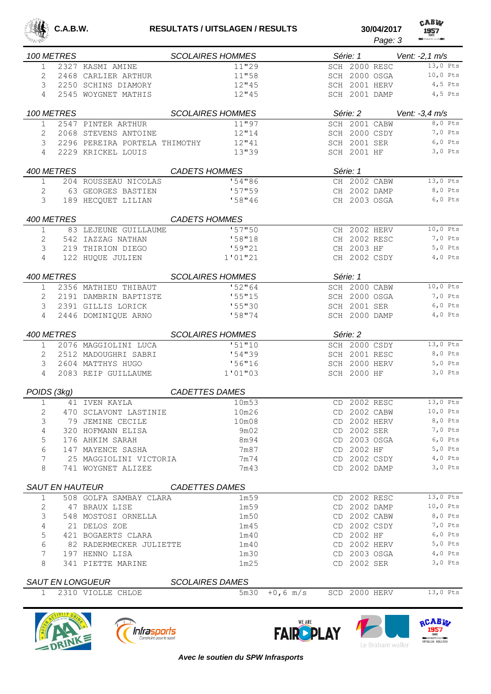

|                |            |                               |                         |             |                    | Page: 3   | <b>REMATHLETIC CLUB BEAT</b> |
|----------------|------------|-------------------------------|-------------------------|-------------|--------------------|-----------|------------------------------|
|                | 100 METRES |                               | <b>SCOLAIRES HOMMES</b> |             | Série: 1           |           | Vent: -2,1 m/s               |
| 1              |            | 2327 KASMI AMINE              | 11"29                   |             | SCH 2000 RESC      |           | 13,0 Pts                     |
| 2              |            | 2468 CARLIER ARTHUR           | 11"58                   |             | SCH 2000 OSGA      |           | 10,0 Pts                     |
| 3              |            | 2250 SCHINS DIAMORY           | 12''45                  |             | SCH 2001 HERV      |           | 4,5 Pts                      |
| 4              |            | 2545 WOYGNET MATHIS           | 12''45                  |             | SCH 2001 DAMP      |           | $4,5$ Pts                    |
|                | 100 METRES |                               | <b>SCOLAIRES HOMMES</b> |             | Série: 2           |           | Vent: $-3.4$ m/s             |
| $\mathbf 1$    |            | 2547 PINTER ARTHUR            | 11"97                   |             | SCH 2001 CABW      |           | 8,0 Pts                      |
| 2              |            | 2068 STEVENS ANTOINE          | 12''14                  |             | SCH 2000 CSDY      |           | 7,0 Pts                      |
| 3              |            | 2296 PEREIRA PORTELA THIMOTHY | 12''41                  |             | SCH 2001 SER       |           | $6,0$ Pts                    |
| 4              |            | 2229 KRICKEL LOUIS            | 13''39                  |             | <b>SCH 2001 HF</b> |           | $3,0$ Pts                    |
| 400 METRES     |            |                               | <b>CADETS HOMMES</b>    |             | Série: 1           |           |                              |
| $\mathbf{1}$   |            | 204 ROUSSEAU NICOLAS          | '54"86                  |             | CH 2002 CABW       |           | 13,0 Pts                     |
| 2              |            | 63 GEORGES BASTIEN            | 157"59                  |             | CH 2002 DAMP       |           | 8,0 Pts                      |
| 3              |            | 189 HECQUET LILIAN            | 158''46                 |             | CH 2003 OSGA       |           | $6,0$ Pts                    |
|                | 400 METRES |                               | <b>CADETS HOMMES</b>    |             |                    |           |                              |
| 1              |            | 83 LEJEUNE GUILLAUME          | '57"50                  |             | CH 2002 HERV       |           | 10,0 Pts                     |
| 2              |            | 542 IAZZAG NATHAN             | '58"18                  |             | CH 2002 RESC       |           | 7,0 Pts                      |
| 3              |            | 219 THIRION DIEGO             | '59''21                 |             | CH 2003 HF         |           | $5,0$ Pts                    |
| 4              |            | 122 HUQUE JULIEN              | 1'01''21                |             | CH 2002 CSDY       |           | $4,0$ Pts                    |
| 400 METRES     |            |                               | <b>SCOLAIRES HOMMES</b> |             | Série: 1           |           |                              |
| 1              |            | 2356 MATHIEU THIBAUT          | 152"64                  |             | SCH 2000 CABW      |           | 10,0 Pts                     |
| 2              |            | 2191 DAMBRIN BAPTISTE         | '55"15                  |             | SCH 2000 OSGA      |           | 7,0 Pts                      |
| 3              |            | 2391 GILLIS LORICK            | '55''30                 |             | SCH 2001 SER       |           | $6,0$ Pts                    |
| 4              |            | 2446 DOMINIQUE ARNO           | 158''74                 |             | SCH 2000 DAMP      |           | $4,0$ Pts                    |
| 400 METRES     |            |                               | <b>SCOLAIRES HOMMES</b> |             | Série: 2           |           |                              |
| 1              |            | 2076 MAGGIOLINI LUCA          | '51''10                 |             | SCH 2000 CSDY      |           | $13,0$ Pts                   |
| 2              |            | 2512 MADOUGHRI SABRI          | 154"39                  |             | SCH 2001 RESC      |           | 8,0 Pts                      |
| 3              |            | 2604 MATTHYS HUGO             | '56"16                  |             | SCH 2000 HERV      |           | $5,0$ Pts                    |
| 4              |            | 2083 REIP GUILLAUME           | 1'01''03                |             | <b>SCH 2000 HF</b> |           | $3,0$ Pts                    |
| POIDS (3kg)    |            |                               | <b>CADETTES DAMES</b>   |             |                    |           |                              |
| 1              |            | 41 IVEN KAYLA                 | 10m53                   | CD          |                    | 2002 RESC | 13,0 Pts                     |
| 2              |            | 470 SCLAVONT LASTINIE         | 10m26                   |             | CD 2002 CABW       |           | 10,0 Pts                     |
| 3              |            | 79 JEMINE CECILE              | 10m08                   |             | CD 2002 HERV       |           | 8,0 Pts                      |
| $\overline{4}$ |            | 320 HOFMANN ELISA             | 9m02                    |             | CD 2002 SER        |           | 7,0 Pts                      |
| 5              |            | 176 AHKIM SARAH               | 8m94                    |             | CD 2003 OSGA       |           | $6,0$ Pts                    |
| 6              |            | 147 MAYENCE SASHA             | 7m87                    |             | CD 2002 HF         |           | $5,0$ Pts                    |
| 7              |            | 25 MAGGIOLINI VICTORIA        | 7m74                    |             | CD 2002 CSDY       |           | $4,0$ Pts                    |
| 8              |            | 741 WOYGNET ALIZEE            | 7m43                    |             | CD 2002 DAMP       |           | $3,0$ Pts                    |
|                |            | SAUT EN HAUTEUR               | <b>CADETTES DAMES</b>   |             |                    |           |                              |
| 1              |            | 508 GOLFA SAMBAY CLARA        | 1m59                    |             | CD 2002 RESC       |           | 13,0 Pts                     |
| 2              |            | 47 BRAUX LISE                 | 1m59                    |             | CD 2002 DAMP       |           | 10,0 Pts                     |
| 3              |            | 548 MOSTOSI ORNELLA           | 1m50                    |             | CD 2002 CABW       |           | 8,0 Pts                      |
| $\overline{4}$ |            | 21 DELOS ZOE                  | 1m45                    |             | CD 2002 CSDY       |           | 7,0 Pts                      |
| 5              |            | 421 BOGAERTS CLARA            | lm40                    |             | CD 2002 HF         |           | $6,0$ Pts                    |
| 6              |            | 82 RADERMECKER JULIETTE       | lm40                    |             | CD 2002 HERV       |           | $5,0$ Pts                    |
| 7              |            | 197 HENNO LISA                | 1 <sub>m30</sub>        |             | CD 2003 OSGA       |           | $4,0$ Pts                    |
| 8              |            | 341 PIETTE MARINE             | 1m25                    |             | CD 2002 SER        |           | $3,0$ Pts                    |
|                |            | SAUT EN LONGUEUR              | <b>SCOLAIRES DAMES</b>  |             |                    |           |                              |
| $\mathbf{1}$   |            | 2310 VIOLLE CHLOE             | 5m30                    | $+0, 6$ m/s | SCD 2000 HERV      |           | $13,0$ Pts                   |
|                |            |                               |                         |             |                    |           |                              |







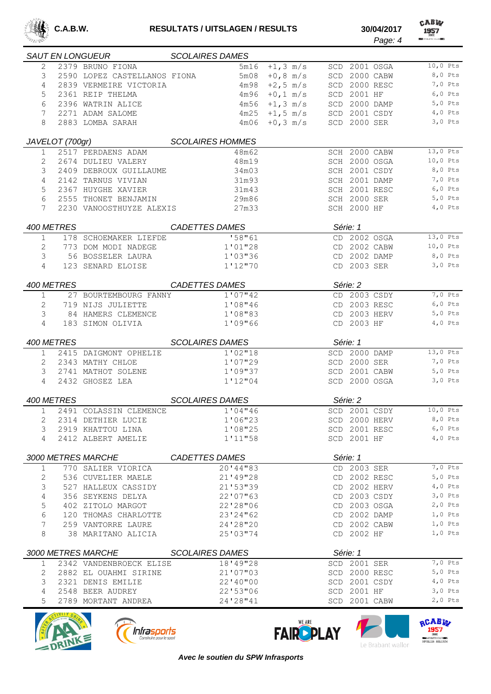

CABW 

|                   |                 | SAUT EN LONGUEUR SCOLAIRES DAMES           |                           |                |          |                                |               |            |
|-------------------|-----------------|--------------------------------------------|---------------------------|----------------|----------|--------------------------------|---------------|------------|
| $\mathfrak{D}$    |                 | 2379 BRUNO FIONA                           | 5m16                      | $+1, 3$ m/s    |          | SCD 2001 OSGA                  |               | $10,0$ Pts |
| 3                 |                 | 2590 LOPEZ CASTELLANOS FIONA               | 5m08                      | $+0,8$ m/s     |          | SCD 2000 CABW                  |               | 8,0 Pts    |
| 4                 |                 | 2839 VERMEIRE VICTORIA                     | 4m98                      | $+2, 5$ m/s    |          | SCD 2000 RESC                  |               | 7,0 Pts    |
| 5                 |                 | 2361 REIP THELMA                           | 4m96                      | $+0, 1$ m/s    |          | SCD 2001 HF                    |               | $6,0$ Pts  |
| 6                 |                 | 2396 WATRIN ALICE                          | 4m56                      | $+1, 3$ m/s    |          | SCD 2000 DAMP                  |               | $5,0$ Pts  |
| 7                 |                 | 2271 ADAM SALOME                           | 4m25                      | $+1, 5$ m/s    |          | SCD 2001 CSDY                  |               | $4,0$ Pts  |
| 8                 |                 | 2883 LOMBA SARAH                           | 4m06                      | $+0, 3 \, m/s$ |          | SCD 2000 SER                   |               | $3,0$ Pts  |
|                   |                 |                                            |                           |                |          |                                |               |            |
|                   | JAVELOT (700gr) |                                            | <b>SCOLAIRES HOMMES</b>   |                |          |                                |               | $13,0$ Pts |
| 1                 |                 | 2517 PERDAENS ADAM                         | 48m62                     |                |          | SCH 2000 CABW                  |               | $10,0$ Pts |
| 2                 |                 | 2674 DULIEU VALERY                         | 48m19                     |                |          | SCH 2000 OSGA                  |               | 8,0 Pts    |
| 3                 |                 | 2409 DEBROUX GUILLAUME                     | 34m03                     |                |          | SCH 2001 CSDY                  |               | 7,0 Pts    |
| 4                 |                 | 2142 TARNUS VIVIAN                         | 31m93                     |                |          | SCH 2001 DAMP<br>SCH 2001 RESC |               | $6,0$ Pts  |
| 5                 |                 | 2367 HUYGHE XAVIER                         | 31m43                     |                |          |                                |               | $5,0$ Pts  |
| 6<br>7            |                 | 2555 THONET BENJAMIN                       | 29m86                     |                |          | SCH 2000 SER<br>SCH 2000 HF    |               | $4,0$ Pts  |
|                   |                 | 2230 VANOOSTHUYZE ALEXIS                   | 27m33                     |                |          |                                |               |            |
|                   | 400 METRES      |                                            | <b>CADETTES DAMES</b>     |                | Série: 1 |                                |               |            |
| 1                 |                 | 178 SCHOEMAKER LIEFDE                      | 158"61                    |                |          | CD 2002 OSGA                   |               | 13,0 Pts   |
| 2                 |                 | 773 DOM MODI NADEGE                        | 1'01''28                  |                |          | CD 2002 CABW                   |               | $10,0$ Pts |
| 3                 |                 | 56 BOSSELER LAURA                          | 1'03"36                   |                |          | CD 2002 DAMP                   |               | 8,0 Pts    |
| 4                 |                 | 123 SENARD ELOISE                          | 1'12''70                  |                |          | CD 2003 SER                    |               | $3,0$ Pts  |
|                   | 400 METRES      |                                            |                           |                |          |                                |               |            |
|                   |                 |                                            | CADETTES DAMES<br>1'07"42 |                |          | Série: 2<br>CD 2003 CSDY       |               | 7,0 Pts    |
| $\mathbf{1}$<br>2 |                 | 27 BOURTEMBOURG FANNY<br>719 NIJS JULIETTE | 1'08"46                   |                |          | CD 2003 RESC                   |               | $6,0$ Pts  |
| 3                 |                 | 84 HAMERS CLEMENCE                         | 1'08"83                   |                |          | CD 2003 HERV                   |               | 5,0 Pts    |
| 4                 |                 | 183 SIMON OLIVIA                           | 1'09"66                   |                |          | CD 2003 HF                     |               | $4,0$ Pts  |
|                   |                 |                                            |                           |                |          |                                |               |            |
|                   | 400 METRES      |                                            | <b>SCOLAIRES DAMES</b>    |                | Série: 1 |                                |               |            |
| $\mathbf{1}$      |                 | 2415 DAIGMONT OPHELIE                      | 1'02''18                  |                |          | SCD 2000 DAMP                  |               | 13,0 Pts   |
| 2                 |                 | 2343 MATHY CHLOE                           | 1'07''29                  |                |          | SCD 2000 SER                   |               | 7,0 Pts    |
| 3                 |                 | 2741 MATHOT SOLENE                         | 1'09''37                  |                |          | SCD 2001 CABW                  |               | $5,0$ Pts  |
| 4                 |                 | 2432 GHOSEZ LEA                            | 1'12''04                  |                |          | SCD 2000 OSGA                  |               | $3,0$ Pts  |
|                   | 400 METRES      |                                            | <b>SCOLAIRES DAMES</b>    |                | Série: 2 |                                |               |            |
| $\mathbf{1}$      |                 | 2491 COLASSIN CLEMENCE                     | 1'04''46                  |                |          | SCD 2001 CSDY                  |               | 10,0 Pts   |
|                   |                 | 2 2314 DETHIER LUCIE                       | 1'06"23                   |                |          |                                | SCD 2000 HERV | 8,0 Pts    |
| 3                 |                 | 2919 KHATTOU LINA                          | 1'08''25                  |                |          | SCD 2001 RESC                  |               | $6,0$ Pts  |
| 4                 |                 | 2412 ALBERT AMELIE                         | 1'11"58                   |                |          | SCD 2001 HF                    |               | $4,0$ Pts  |
|                   |                 |                                            |                           |                |          |                                |               |            |
|                   |                 | 3000 METRES MARCHE                         | CADETTES DAMES            |                |          | Série: 1                       |               |            |
| $\mathbf{1}$      |                 | 770 SALIER VIORICA                         | 20'44"83                  |                |          | CD 2003 SER                    |               | $7,0$ Pts  |
| 2                 |                 | 536 CUVELIER MAELE                         | 21'49"28                  |                |          | CD 2002 RESC                   |               | $5,0$ Pts  |
| 3                 |                 | 527 HALLEUX CASSIDY                        | 21'53''39                 |                |          | CD 2002 HERV                   |               | $4,0$ Pts  |
| 4                 |                 | 356 SEYKENS DELYA                          | 22'07''63                 |                |          | CD 2003 CSDY                   |               | $3,0$ Pts  |
| 5                 |                 | 402 ZITOLO MARGOT                          | 22'28"06                  |                |          | CD 2003 OSGA                   |               | $2,0$ Pts  |
| 6                 |                 | 120 THOMAS CHARLOTTE                       | 23'24"62                  |                |          | CD 2002 DAMP                   |               | $1,0$ Pts  |
| 7                 |                 | 259 VANTORRE LAURE                         | 24'28"20                  |                |          | CD 2002 CABW                   |               | $1,0$ Pts  |
| 8                 |                 | 38 MARITANO ALICIA                         | 25'03"74                  |                |          | CD 2002 HF                     |               | $1,0$ Pts  |
|                   |                 | 3000 METRES MARCHE                         | <b>SCOLAIRES DAMES</b>    |                | Série: 1 |                                |               |            |
| 1                 |                 | 2342 VANDENBROECK ELISE                    | 18'49"28                  |                |          | SCD 2001 SER                   |               | $7,0$ Pts  |
| 2                 |                 | 2882 EL OUAHMI SIRINE                      | 21'07"03                  |                |          | SCD 2000 RESC                  |               | $5,0$ Pts  |
| 3                 |                 | 2321 DENIS EMILIE                          | 22'40"00                  |                |          | SCD 2001 CSDY                  |               | $4,0$ Pts  |
| 4                 |                 | 2548 BEER AUDREY                           | 22'53"06                  |                |          | SCD 2001 HF                    |               | $3,0$ Pts  |
| 5                 |                 | 2789 MORTANT ANDREA                        | 24'28"41                  |                |          | SCD 2001 CABW                  |               | $2,0$ Pts  |







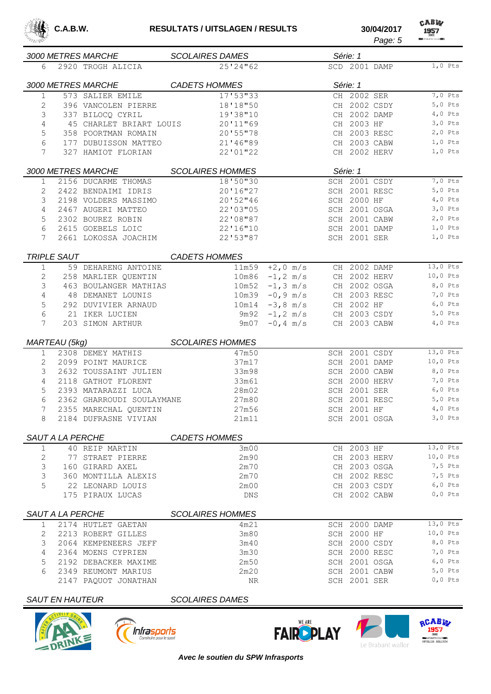

CABW *Page: 5*

| 3000 METRES MARCHE     |                                             | <b>SCOLAIRES DAMES</b>  |                    |     | Série: 1                     |               |                        |
|------------------------|---------------------------------------------|-------------------------|--------------------|-----|------------------------------|---------------|------------------------|
| 6                      | 2920 TROGH ALICIA                           | 25'24''62               |                    |     | SCD 2001 DAMP                |               | $1,0$ Pts              |
|                        |                                             |                         |                    |     |                              |               |                        |
| 3000 METRES MARCHE     |                                             | <b>CADETS HOMMES</b>    |                    |     | Série: 1                     |               | 7,0 Pts                |
| 1                      | 573 SALIER EMILE                            | 17'53"33                |                    |     | CH 2002 SER                  |               |                        |
| 2                      | 396 VANCOLEN PIERRE                         | 18'18"50                |                    |     | CH 2002 CSDY<br>CH 2002 DAMP |               | $5,0$ Pts<br>$4,0$ Pts |
| 3                      | 337 BILOCQ CYRIL<br>45 CHARLET BRIART LOUIS | 19'38"10                |                    |     | CH 2003 HF                   |               | $3,0$ Pts              |
| 4                      |                                             | 20'11"69                |                    |     | CH 2003 RESC                 |               | $2,0$ Pts              |
| 5<br>6                 | 358 POORTMAN ROMAIN                         | 20'55"78                |                    |     |                              | CH 2003 CABW  | $1,0$ Pts              |
| 7                      | 177 DUBUISSON MATTEO<br>327 HAMIOT FLORIAN  | 21'46"89<br>22'01"22    |                    |     |                              | CH 2002 HERV  | $1,0$ Pts              |
|                        |                                             |                         |                    |     |                              |               |                        |
| 3000 METRES MARCHE     |                                             | <b>SCOLAIRES HOMMES</b> |                    |     | Série: 1                     |               |                        |
| $\mathbf 1$            | 2156 DUCARME THOMAS                         | 18'50"30                |                    |     |                              | SCH 2001 CSDY | 7,0 Pts                |
| 2                      | 2422 BENDAIMI IDRIS                         | 20'16"27                |                    |     | SCH 2001 RESC                |               | $5,0$ Pts              |
| 3                      | 2198 VOLDERS MASSIMO                        | 20'52"46                |                    |     | SCH 2000 HF                  |               | $4,0$ Pts              |
| 4                      | 2467 AUGERI MATTEO                          | 22'03"05                |                    |     | SCH 2001 OSGA                |               | $3,0$ Pts              |
| 5                      | 2302 BOUREZ ROBIN                           | 22'08"87                |                    |     | SCH 2001 CABW                |               | $2,0$ Pts              |
| 6                      | 2615 GOEBELS LOIC                           | 22'16"10                |                    |     | SCH 2001 DAMP                |               | $1,0$ Pts              |
| 7                      | 2661 LOKOSSA JOACHIM                        | 22'53"87                |                    |     | SCH 2001 SER                 |               | $1,0$ Pts              |
| TRIPLE SAUT            |                                             | <b>CADETS HOMMES</b>    |                    |     |                              |               |                        |
| 1                      | 59 DEHARENG ANTOINE                         | 11m59                   | $+2,0$ m/s         |     | CH 2002 DAMP                 |               | 13,0 Pts               |
| 2                      | 258 MARLIER QUENTIN                         |                         | $10m86 - 1, 2 m/s$ |     |                              | CH 2002 HERV  | 10,0 Pts               |
| 3                      | 463 BOULANGER MATHIAS                       |                         | $10m52 - 1, 3 m/s$ |     |                              | CH 2002 OSGA  | 8,0 Pts                |
| 4                      | 48 DEMANET LOUNIS                           |                         | $10m39 - 0,9 m/s$  |     | CH 2003 RESC                 |               | 7,0 Pts                |
| 5                      | 292 DUVIVIER ARNAUD                         |                         | $10m14 - 3,8 m/s$  |     | CH 2002 HF                   |               | $6,0$ Pts              |
| 6                      | 21 IKER LUCIEN                              | 9m92                    | $-1, 2 \, m/s$     |     |                              | CH 2003 CSDY  | $5,0$ Pts              |
| 7                      | 203 SIMON ARTHUR                            | 9m07                    | $-0, 4$ m/s        |     | CH 2003 CABW                 |               | $4,0$ Pts              |
| MARTEAU (5kg)          |                                             | <b>SCOLAIRES HOMMES</b> |                    |     |                              |               |                        |
| 1                      | 2308 DEMEY MATHIS                           | 47m50                   |                    |     | SCH 2001 CSDY                |               | 13,0 Pts               |
| 2                      | 2099 POINT MAURICE                          | 37m17                   |                    |     | SCH 2001 DAMP                |               | $10,0$ Pts             |
| 3                      | 2632 TOUSSAINT JULIEN                       | 33m98                   |                    |     | SCH 2000 CABW                |               | 8,0 Pts                |
| 4                      | 2118 GATHOT FLORENT                         | 33m61                   |                    |     |                              | SCH 2000 HERV | 7,0 Pts                |
| 5                      | 2393 MATARAZZI LUCA                         | 28m02                   |                    |     | SCH 2001 SER                 |               | $6,0$ Pts              |
| 6                      | 2362 GHARROUDI SOULAYMANE                   | 27m80                   |                    |     | SCH 2001 RESC                |               | $5,0$ Pts              |
| 7                      | 2355 MARECHAL QUENTIN                       | 27m56                   |                    |     | SCH 2001 HF                  |               | $4,0$ Pts              |
| 8                      | 2184 DUFRASNE VIVIAN                        | 21m11                   |                    |     | SCH 2001 OSGA                |               | $3,0$ Pts              |
|                        |                                             |                         |                    |     |                              |               |                        |
| SAUT A LA PERCHE       |                                             | <b>CADETS HOMMES</b>    |                    |     |                              |               |                        |
| 1                      | 40 REIP MARTIN                              | 3m00                    |                    |     | CH 2003 HF                   |               | 13,0 Pts               |
| 2                      | 77 STRAET PIERRE                            | 2m90                    |                    |     | CH 2003 HERV                 |               | 10,0 Pts               |
| 3                      | 160 GIRARD AXEL                             | 2m70                    |                    |     | CH 2003 OSGA                 |               | 7,5 Pts                |
| 3                      | 360 MONTILLA ALEXIS                         | 2m70                    |                    |     | CH 2002 RESC                 |               | 7,5 Pts                |
| 5                      | 22 LEONARD LOUIS                            | 2m00                    |                    |     | CH 2003 CSDY                 |               | $6,0$ Pts              |
|                        | 175 PIRAUX LUCAS                            | <b>DNS</b>              |                    |     | CH 2002 CABW                 |               | $0,0$ Pts              |
| SAUT A LA PERCHE       |                                             | <b>SCOLAIRES HOMMES</b> |                    |     |                              |               |                        |
| 1                      | 2174 HUTLET GAETAN                          | 4m21                    |                    |     | SCH 2000 DAMP                |               | 13,0 Pts               |
| 2                      | 2213 ROBERT GILLES                          | 3m80                    |                    |     | SCH 2000 HF                  |               | $10,0$ Pts             |
| 3                      | 2064 KEMPENEERS JEFF                        | 3m40                    |                    | SCH |                              | 2000 CSDY     | 8,0 Pts                |
| 4                      | 2364 MOENS CYPRIEN                          | 3m30                    |                    |     | SCH 2000 RESC                |               | 7,0 Pts                |
| 5                      | 2192 DEBACKER MAXIME                        | 2m50                    |                    |     | SCH 2001 OSGA                |               | $6,0$ Pts              |
| 6                      | 2349 REUMONT MARIUS                         | 2m20                    |                    |     | SCH 2001 CABW                |               | $5,0$ Pts              |
|                        | 2147 PAQUOT JONATHAN                        | NR                      |                    |     | SCH 2001 SER                 |               | $0,0$ Pts              |
| <b>SAUT EN HAUTEUR</b> |                                             | <b>SCOLAIRES DAMES</b>  |                    |     |                              |               |                        |







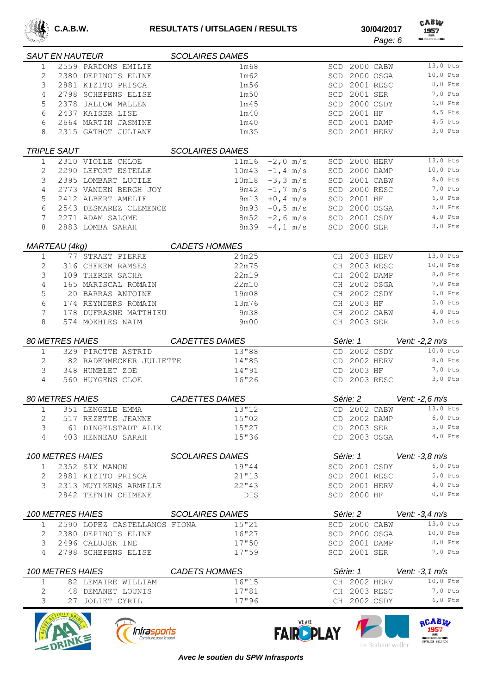

CABW 

|              | <b>SAUT EN HAUTEUR</b> |                              | <b>SCOLAIRES DAMES</b> |                       |                              |           |                                                                              |
|--------------|------------------------|------------------------------|------------------------|-----------------------|------------------------------|-----------|------------------------------------------------------------------------------|
| $\mathbf{1}$ |                        | 2559 PARDOMS EMILIE          | 1m68                   |                       | SCD 2000 CABW                |           | 13,0 Pts                                                                     |
| 2            |                        | 2380 DEPINOIS ELINE          | 1m62                   | SCD                   |                              | 2000 OSGA | 10,0 Pts                                                                     |
| 3            |                        | 2881 KIZITO PRISCA           | 1m56                   | SCD                   |                              | 2001 RESC | 8,0 Pts                                                                      |
| 4            |                        | 2798 SCHEPENS ELISE          | 1m50                   | SCD                   |                              | 2001 SER  | 7,0 Pts                                                                      |
| 5            |                        | 2378 JALLOW MALLEN           | 1m45                   | SCD                   |                              | 2000 CSDY | $6,0$ Pts                                                                    |
| 6            |                        | 2437 KAISER LISE             | 1 <sub>m40</sub>       | SCD                   | 2001 HF                      |           | $4,5$ Pts                                                                    |
| 6            |                        | 2664 MARTIN JASMINE          | 1 <sub>m40</sub>       | SCD                   |                              | 2001 DAMP | $4,5$ Pts                                                                    |
| 8            |                        | 2315 GATHOT JULIANE          | 1 <sub>m35</sub>       |                       | SCD 2001 HERV                |           | $3,0$ Pts                                                                    |
|              | <b>TRIPLE SAUT</b>     |                              | <b>SCOLAIRES DAMES</b> |                       |                              |           |                                                                              |
| 1            |                        | 2310 VIOLLE CHLOE            | 11m16                  | $-2,0$ m/s            | SCD 2000 HERV                |           | 13,0 Pts                                                                     |
| 2            |                        | 2290 LEFORT ESTELLE          | 10m43                  | $-1, 4$ m/s<br>SCD    |                              | 2000 DAMP | $10,0$ Pts                                                                   |
| 3            |                        | 2395 LOMBART LUCILE          | 10m18                  | $-3, 3 \, m/s$<br>SCD |                              | 2001 CABW | 8,0 Pts                                                                      |
| 4            |                        | 2773 VANDEN BERGH JOY        | 9m42                   | $-1, 7$ m/s<br>SCD    |                              | 2000 RESC | 7,0 Pts                                                                      |
| 5            |                        | 2412 ALBERT AMELIE           | 9m13                   | $+0, 4$ m/s<br>SCD    | 2001 HF                      |           | $6,0$ Pts                                                                    |
| 6            |                        | 2543 DESMAREZ CLEMENCE       | 8m93                   | $-0, 5$ m/s           | SCD 2000 OSGA                |           | $5,0$ Pts                                                                    |
| 7            |                        | 2271 ADAM SALOME             | 8m52                   | $-2, 6$ m/s           | SCD 2001 CSDY                |           | $4,0$ Pts                                                                    |
| 8            |                        | 2883 LOMBA SARAH             | 8m39                   | $-4, 1$ m/s           | SCD 2000 SER                 |           | $3,0$ Pts                                                                    |
|              | MARTEAU (4kg)          |                              | <b>CADETS HOMMES</b>   |                       |                              |           |                                                                              |
| $\mathbf{1}$ |                        | 77 STRAET PIERRE             | 24m25                  |                       | CH 2003 HERV                 |           | 13,0 Pts                                                                     |
| 2            |                        | 316 CHEKEM RAMSES            | 22m75                  |                       | CH 2003 RESC                 |           | 10,0 Pts                                                                     |
| 3            |                        | 109 THERER SACHA             | 22m19                  |                       | CH 2002 DAMP                 |           | 8,0 Pts                                                                      |
| 4            |                        | 165 MARISCAL ROMAIN          | 22m10                  |                       | CH 2002 OSGA                 |           | 7,0 Pts                                                                      |
| 5            |                        | 20 BARRAS ANTOINE            | 19m08                  |                       | CH                           | 2002 CSDY | $6,0$ Pts                                                                    |
| 6            |                        | 174 REYNDERS ROMAIN          | 13m76                  |                       | CH 2003 HF                   |           | $5,0$ Pts                                                                    |
| 7            |                        | 178 DUFRASNE MATTHIEU        | 9m38                   |                       | CH 2002 CABW                 |           | $4,0$ Pts                                                                    |
| 8            |                        | 574 MOKHLES NAIM             | 9m00                   |                       | CH 2003 SER                  |           | $3,0$ Pts                                                                    |
|              |                        |                              |                        |                       |                              |           |                                                                              |
|              |                        |                              |                        |                       |                              |           |                                                                              |
|              | <b>80 METRES HAIES</b> |                              | <b>CADETTES DAMES</b>  |                       | Série: 1                     |           | Vent: -2,2 m/s                                                               |
| $\mathbf{1}$ |                        | 329 PIROTTE ASTRID           | 13"88                  |                       | CD 2002 CSDY                 |           | 10,0 Pts                                                                     |
| 2            |                        | 82 RADERMECKER JULIETTE      | 14"85                  |                       | CD 2002 HERV                 |           | 8,0 Pts                                                                      |
| 3            |                        | 348 HUMBLET ZOE              | 14"91                  |                       | CD 2003 HF                   |           | 7,0 Pts                                                                      |
| 4            |                        | 560 HUYGENS CLOE             | 16"26                  |                       | CD 2003 RESC                 |           | $3,0$ Pts                                                                    |
|              | <b>80 METRES HAIES</b> |                              | <b>CADETTES DAMES</b>  |                       | Série: 2                     |           | Vent: -2,6 m/s                                                               |
| $\mathbf{1}$ |                        | 351 LENGELE EMMA             | 13''12                 |                       | CD 2002 CABW                 |           | 13,0 Pts                                                                     |
| 2            |                        | 517 REZETTE JEANNE           | 15"02                  |                       | CD 2002 DAMP                 |           | $6,0$ Pts                                                                    |
| 3            |                        | 61 DINGELSTADT ALIX          | 15"27                  |                       | CD 2003 SER                  |           | $5,0$ Pts                                                                    |
| 4            |                        | 403 HENNEAU SARAH            | 15"36                  |                       | CD 2003 OSGA                 |           | $4,0$ Pts                                                                    |
|              | 100 METRES HAIES       |                              | <b>SCOLAIRES DAMES</b> |                       | Série: 1                     |           | Vent: -3,8 m/s                                                               |
| $\mathbf{1}$ |                        | 2352 SIX MANON               | 19"44                  |                       | SCD 2001 CSDY                |           | $6,0$ Pts                                                                    |
| 2            |                        | 2881 KIZITO PRISCA           | 21"13                  |                       | SCD 2001 RESC                |           |                                                                              |
| 3            |                        | 2313 MUYLKENS ARMELLE        | 22''43                 |                       | SCD 2001 HERV                |           |                                                                              |
|              |                        | 2842 TEFNIN CHIMENE          | DIS.                   |                       | SCD 2000 HF                  |           | $0,0$ Pts                                                                    |
|              |                        | <i>100 METRES HAIES</i>      | <b>SCOLAIRES DAMES</b> |                       | Série: 2                     |           | Vent: -3,4 m/s                                                               |
| 1            |                        | 2590 LOPEZ CASTELLANOS FIONA | 15"21                  |                       | SCD 2000 CABW                |           | $13,0$ Pts                                                                   |
| 2            |                        | 2380 DEPINOIS ELINE          | 16"27                  |                       | SCD 2000 OSGA                |           |                                                                              |
| 3            |                        | 2496 CALUJEK INE             | 17"50                  |                       | SCD 2001 DAMP                |           |                                                                              |
| 4            |                        | 2798 SCHEPENS ELISE          | 17"59                  |                       | SCD 2001 SER                 |           |                                                                              |
|              | 100 METRES HAIES       |                              | <b>CADETS HOMMES</b>   |                       | Série: 1                     |           | $5,0$ Pts<br>$4,0$ Pts<br>$10,0$ Pts<br>8,0 Pts<br>7,0 Pts<br>Vent: -3,1 m/s |
| 1            |                        | 82 LEMAIRE WILLIAM           | 16"15                  |                       | CH 2002 HERV                 |           | $10,0$ Pts                                                                   |
| 2            |                        | 48 DEMANET LOUNIS            | 17"81<br>17"96         |                       | CH 2003 RESC<br>CH 2002 CSDY |           | 7,0 Pts<br>$6,0$ Pts                                                         |







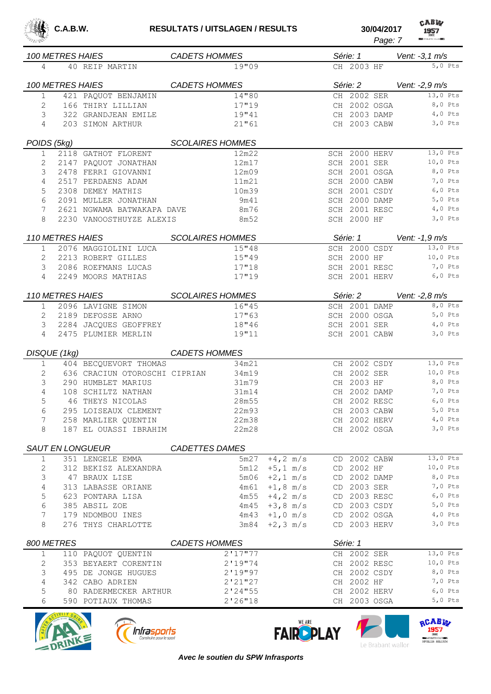

| <b>04/2017</b> | САЕИ<br>1957                   |
|----------------|--------------------------------|
| Page: 7        | <b>REAL ATHLETIC CLUB BEST</b> |

|              |                  | <i><b>100 METRES HAIES</b></i> | <b>CADETS HOMMES</b>    |                         |                   |    | Série: 1      | Vent: -3,1 m/s          |
|--------------|------------------|--------------------------------|-------------------------|-------------------------|-------------------|----|---------------|-------------------------|
| 4            |                  | 40 REIP MARTIN                 |                         | 19"09                   |                   |    | CH 2003 HF    | $5,0$ Pts               |
|              | 100 METRES HAIES |                                | <i>CADETS HOMMES</i>    |                         |                   |    |               | Série: 2 Vent: -2,9 m/s |
| $\mathbf 1$  |                  | 421 PAQUOT BENJAMIN            |                         | 14"80                   |                   |    | CH 2002 SER   | 13,0 Pts                |
| 2            |                  | 166 THIRY LILLIAN              |                         | 17"19                   |                   |    | CH 2002 OSGA  | 8,0 Pts                 |
| 3            |                  | 322 GRANDJEAN EMILE            |                         | 19"41                   |                   |    | CH 2003 DAMP  | 4,0 Pts                 |
| 4            |                  | 203 SIMON ARTHUR               |                         | 21"61                   |                   |    |               | CH 2003 CABW 3,0 Pts    |
| POIDS (5kg)  |                  |                                | <b>SCOLAIRES HOMMES</b> |                         |                   |    |               |                         |
| $\mathbf{1}$ |                  | 2118 GATHOT FLORENT            |                         | 12m22                   |                   |    | SCH 2000 HERV | 13,0 Pts                |
|              |                  | 2147 PAQUOT JONATHAN           |                         | 12m17                   |                   |    | SCH 2001 SER  | 10,0 Pts                |
| 3            |                  | 2478 FERRI GIOVANNI            |                         | 12m09                   |                   |    | SCH 2001 OSGA | 8,0 Pts                 |
| 4            |                  | 2517 PERDAENS ADAM             |                         | 11m21                   |                   |    | SCH 2000 CABW | 7,0 Pts                 |
| 5            |                  | 2308 DEMEY MATHIS              |                         | 10m39                   |                   |    | SCH 2001 CSDY | $6,0$ Pts               |
| 6            |                  | 2091 MULLER JONATHAN           |                         | 9m41                    |                   |    | SCH 2000 DAMP | 5,0 Pts                 |
| 7            |                  | 2621 NGWAMA BATWAKAPA DAVE     |                         | 8m76                    |                   |    | SCH 2001 RESC | $4,0$ Pts               |
| 8            |                  | 2230 VANOOSTHUYZE ALEXIS       |                         | 8m52                    |                   |    | SCH 2000 HF   | $3,0$ Pts               |
|              |                  | <b>110 METRES HAIES</b>        |                         | <b>SCOLAIRES HOMMES</b> |                   |    | Série: 1      | Vent: -1,9 m/s          |
|              |                  |                                |                         |                         |                   |    | SCH 2000 CSDY | 13,0 Pts                |
| $\mathbf{1}$ |                  | 2076 MAGGIOLINI LUCA           |                         | 15''48                  |                   |    |               |                         |
| 2            |                  | 2213 ROBERT GILLES             |                         | 15''49                  |                   |    | SCH 2000 HF   | 10,0 Pts                |
| 3            |                  | 2086 ROEFMANS LUCAS            |                         | 17''18                  |                   |    | SCH 2001 RESC | 7,0 Pts                 |
| 4            |                  | 2249 MOORS MATHIAS             |                         | 17"19                   |                   |    |               | SCH 2001 HERV 6,0 Pts   |
|              |                  | <b>110 METRES HAIES</b>        |                         | <b>SCOLAIRES HOMMES</b> |                   |    | Série: 2      | Vent: -2,8 m/s          |
| $\mathbf{1}$ |                  | 2096 LAVIGNE SIMON             |                         | 16''45                  |                   |    | SCH 2001 DAMP | 8,0 Pts                 |
| 2            |                  | 2189 DEFOSSE ARNO              |                         | 17"63                   |                   |    | SCH 2000 OSGA | $5,0$ Pts               |
| 3            |                  | 2284 JACQUES GEOFFREY          |                         | 18"46                   |                   |    | SCH 2001 SER  | $4,0$ Pts               |
| 4            |                  | 2475 PLUMIER MERLIN            |                         | 19"11                   |                   |    | SCH 2001 CABW | $3,0$ Pts               |
|              | DISQUE (1kg)     |                                | <b>CADETS HOMMES</b>    |                         |                   |    |               |                         |
| 1            |                  | 404 BECQUEVORT THOMAS          |                         | 34m21                   |                   |    | CH 2002 CSDY  | 13,0 Pts                |
| 2            |                  | 636 CRACIUN OTOROSCHI CIPRIAN  |                         | 34m19                   |                   | CH | 2002 SER      | 10,0 Pts                |
| 3            |                  | 290 HUMBLET MARIUS             |                         | 31m79                   |                   |    | CH 2003 HF    | 8,0 Pts                 |
| 4            |                  | 108 SCHILTZ NATHAN             |                         | 31m14                   |                   |    | CH 2002 DAMP  | 7,0 Pts                 |
| 5            |                  | 46 THEYS NICOLAS               |                         | 28m55                   |                   |    | CH 2002 RESC  | $6,0$ Pts               |
| 6            |                  | 295 LOISEAUX CLEMENT           |                         | 22m93                   |                   |    | CH 2003 CABW  | 5,0 Pts                 |
| 7            |                  | 258 MARLIER QUENTIN            |                         | 22m38                   |                   |    | CH 2002 HERV  | $4,0$ Pts               |
| 8            |                  | 187 EL OUASSI IBRAHIM          |                         | 22m28                   |                   |    | CH 2002 OSGA  | $3,0$ Pts               |
|              |                  |                                |                         |                         |                   |    |               |                         |
|              |                  | SAUT EN LONGUEUR               | <b>CADETTES DAMES</b>   |                         |                   |    |               |                         |
| $\mathbf{1}$ |                  | 351 LENGELE EMMA               |                         | 5m27                    | $+4, 2$ m/s       |    | CD 2002 CABW  | 13,0 Pts                |
| 2            |                  | 312 BEKISZ ALEXANDRA           |                         | 5m12                    | $+5, 1$ m/s       |    | CD 2002 HF    | $10,0$ Pts              |
| 3            |                  | 47 BRAUX LISE                  |                         | 5m06                    | $+2, 1$ m/s       |    | CD 2002 DAMP  | 8,0 Pts                 |
| 4            |                  | 313 LABASSE ORIANE             |                         | 4m61                    | $+1, 8$ m/s       |    | CD 2003 SER   | 7,0 Pts                 |
| 5            |                  | 623 PONTARA LISA               |                         |                         | $4m55 + 4, 2 m/s$ |    | CD 2003 RESC  | $6,0$ Pts               |
| 6            |                  | 385 ABSIL ZOE                  |                         |                         | $4m45 + 3, 8 m/s$ |    | CD 2003 CSDY  | $5,0$ Pts               |
| 7            |                  | 179 NDOMBOU INES               |                         | 4m43                    | $+1,0$ m/s        |    | CD 2002 OSGA  | $4,0$ Pts               |
| 8            |                  | 276 THYS CHARLOTTE             |                         | 3m84                    | $+2, 3$ m/s       |    | CD 2003 HERV  | $3,0$ Pts               |
| 800 METRES   |                  |                                | <b>CADETS HOMMES</b>    |                         |                   |    | Série: 1      |                         |
| $\mathbf{1}$ |                  | 110 PAQUOT QUENTIN             |                         | 2'17''77                |                   |    | CH 2002 SER   | $13,0$ Pts              |
| 2            |                  | 353 BEYAERT CORENTIN           |                         | 2'19''74                |                   |    | CH 2002 RESC  | $10,0$ Pts              |
| 3            |                  | 495 DE JONGE HUGUES            |                         | 2'19''97                |                   |    | CH 2002 CSDY  | 8,0 Pts                 |
| 4            |                  | 342 CABO ADRIEN                |                         | 2'21''27                |                   |    | CH 2002 HF    | 7,0 Pts                 |
| 5            |                  | 80 RADERMECKER ARTHUR          |                         | 2'24''55                |                   |    | CH 2002 HERV  | $6,0$ Pts               |
| 6            |                  | 590 POTIAUX THOMAS             |                         | 2'26''18                |                   |    | CH 2003 OSGA  | $5,0$ Pts               |
|              | $\sqrt{2}$       |                                |                         |                         |                   |    |               |                         |







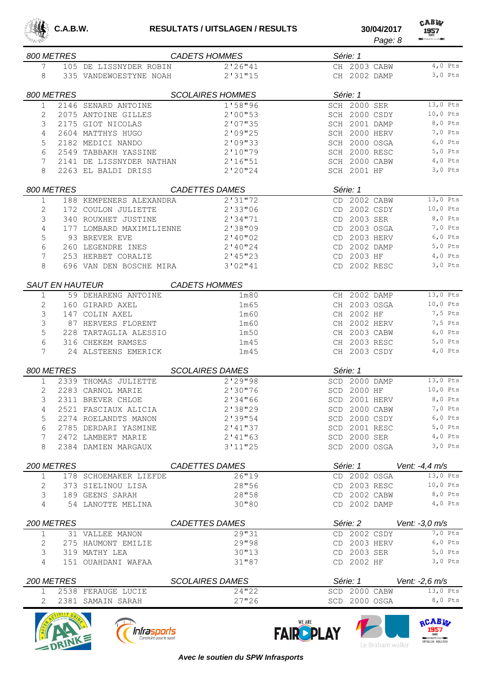

CABW *Page: 8*

|             | 800 METRES             |                          | <b>CADETS HOMMES</b>    |     | Série: 1           |                      |
|-------------|------------------------|--------------------------|-------------------------|-----|--------------------|----------------------|
| 7           |                        | 105 DE LISSNYDER ROBIN   | 2'26"41                 |     | CH 2003 CABW       | $4,0$ Pts            |
| 8           |                        | 335 VANDEWOESTYNE NOAH   | 2'31''15                |     | CH 2002 DAMP       | $3,0$ Pts            |
|             |                        |                          |                         |     |                    |                      |
|             | 800 METRES             |                          | <b>SCOLAIRES HOMMES</b> |     | Série: 1           |                      |
| 1           |                        | 2146 SENARD ANTOINE      | 1'58"96                 |     | SCH 2000 SER       | 13,0 Pts             |
| 2           |                        | 2075 ANTOINE GILLES      | 2'00''53                |     | SCH 2000 CSDY      | $10,0$ Pts           |
| 3           |                        | 2175 GIOT NICOLAS        | 2'07''35                |     | SCH 2001 DAMP      | $8,0$ Pts            |
| 4           |                        | 2604 MATTHYS HUGO        | 2'09"25                 |     | SCH 2000 HERV      | 7,0 Pts              |
| 5           |                        | 2182 MEDICI NANDO        | 2'09"33                 |     | SCH 2000 OSGA      | $6,0$ Pts            |
| 6           |                        | 2549 TABBAKH YASSINE     | 2'10"79                 |     | SCH 2000 RESC      | 5,0 Pts              |
| 7           |                        | 2141 DE LISSNYDER NATHAN | 2'16''51                |     | SCH 2000 CABW      | $4,0$ Pts            |
| 8           |                        | 2263 EL BALDI DRISS      | 2'20''24                |     | <b>SCH 2001 HF</b> | $3,0$ Pts            |
|             |                        |                          |                         |     |                    |                      |
|             | 800 METRES             |                          | <b>CADETTES DAMES</b>   |     | Série: 1           |                      |
| 1           |                        | 188 KEMPENERS ALEXANDRA  | 2'31''72                |     | CD 2002 CABW       | 13,0 Pts             |
| 2           |                        | 172 COULON JULIETTE      | 2'33''06                |     | CD 2002 CSDY       | $10,0$ Pts           |
| 3           |                        | 340 ROUXHET JUSTINE      | 2'34"71                 | CD  | 2003 SER           | 8,0 Pts              |
| 4           |                        | 177 LOMBARD MAXIMILIENNE | 2'38"09                 | CD  | 2003 OSGA          | 7,0 Pts              |
| 5           |                        | 93 BREVER EVE            | 2'40''02                | CD  | 2003 HERV          | $6,0$ Pts            |
| 6           |                        | 260 LEGENDRE INES        | $2'$ 40 $''$ 24         |     | CD 2002 DAMP       | 5,0 Pts              |
| 7           |                        | 253 HERBET CORALIE       | 2'45''23                |     | CD 2003 HF         | $4,0$ Pts            |
| 8           |                        | 696 VAN DEN BOSCHE MIRA  | 3'02"41                 |     | CD 2002 RESC       | $3,0$ Pts            |
|             |                        |                          |                         |     |                    |                      |
|             | <b>SAUT EN HAUTEUR</b> |                          | <b>CADETS HOMMES</b>    |     |                    |                      |
| 1           |                        | 59 DEHARENG ANTOINE      | 1 <sub>m80</sub>        |     | CH 2002 DAMP       | 13,0 Pts             |
| 2           |                        | 160 GIRARD AXEL          | 1m65                    |     | CH 2003 OSGA       | 10,0 Pts             |
| 3           |                        | 147 COLIN AXEL           | 1 <sub>m</sub> 60       |     | CH 2002 HF         | 7,5 Pts              |
| 3           |                        | 87 HERVERS FLORENT       | 1 <sub>m</sub> 60       |     | CH 2002 HERV       | 7,5 Pts              |
| 5           |                        | 228 TARTAGLIA ALESSIO    | 1m50                    |     | CH 2003 CABW       | $6,0$ Pts            |
| 6           |                        | 316 CHEKEM RAMSES        | 1m45                    |     | CH 2003 RESC       | $5,0$ Pts            |
| 7           |                        | 24 ALSTEENS EMERICK      | 1m45                    |     | CH 2003 CSDY       | $4,0$ Pts            |
|             |                        |                          |                         |     |                    |                      |
|             | 800 METRES             |                          | <b>SCOLAIRES DAMES</b>  |     | Série: 1           |                      |
| 1           |                        | 2339 THOMAS JULIETTE     | 2'29"98                 | SCD | 2000 DAMP          | 13,0 Pts             |
| 2           |                        | 2283 CARNOL MARIE        | 2'30"76                 |     | SCD 2000 HF        | $10,0$ Pts           |
| 3           |                        | 2311 BREVER CHLOE        | 2'34''66                |     | SCD 2001 HERV      | 8,0 Pts              |
| 4           |                        | 2521 FASCIAUX ALICIA     | 2'38"29                 |     | SCD 2000 CABW      | 7,0 Pts              |
| 5           |                        | 2274 ROELANDTS MANON     | 2'39"54                 |     | SCD 2000 CSDY      | $6,0$ Pts            |
| 6           |                        | 2785 DERDARI YASMINE     | $2'$ 41"37              |     | SCD 2001 RESC      | $5,0$ Pts            |
| 7           |                        | 2472 LAMBERT MARIE       | 2'41''63                |     | SCD 2000 SER       | $4,0$ Pts            |
| 8           |                        | 2384 DAMIEN MARGAUX      | 3'11''25                |     | SCD 2000 OSGA      | $3,0$ Pts            |
|             |                        |                          |                         |     |                    |                      |
|             | 200 METRES             |                          | <b>CADETTES DAMES</b>   |     | Série: 1           | Vent: $-4.4$ m/s     |
| 1           |                        | 178 SCHOEMAKER LIEFDE    | 26''19                  |     | CD 2002 OSGA       | 13,0 Pts             |
| 2           |                        | 373 SIELINOU LISA        | 28"56                   |     | CD 2003 RESC       | 10,0 Pts             |
| 3           |                        | 189 GEENS SARAH          | 28"58                   |     | CD 2002 CABW       | 8,0 Pts              |
| 4           |                        | 54 LANOTTE MELINA        | 30"80                   |     | CD 2002 DAMP       | $4,0$ Pts            |
|             | 200 METRES             |                          | <b>CADETTES DAMES</b>   |     | Série: 2           | Vent: $-3.0$ m/s     |
| $\mathbf 1$ |                        |                          | 29"31                   |     | CD 2002 CSDY       | $\overline{7,0}$ Pts |
|             |                        | 31 VALLEE MANON          |                         |     |                    | $6,0$ Pts            |
| 2           |                        | 275 HAUMONT EMILIE       | 29"98                   |     | CD 2003 HERV       |                      |
| 3           |                        | 319 MATHY LEA            | 30''13                  |     | CD 2003 SER        | $5,0$ Pts            |
| 4           |                        | 151 OUAHDANI WAFAA       | 31''87                  |     | CD 2002 HF         | $3,0$ Pts            |
|             | 200 METRES             |                          | <b>SCOLAIRES DAMES</b>  |     | Série: 1           | Vent: $-2,6$ m/s     |
| 1           |                        | 2538 FERAUGE LUCIE       | 24''22                  |     | SCD 2000 CABW      | 13,0 Pts             |
| 2           |                        | 2381 SAMAIN SARAH        | 27''26                  |     | SCD 2000 OSGA      | 8,0 Pts              |









*Avec le soutien du SPW Infrasports*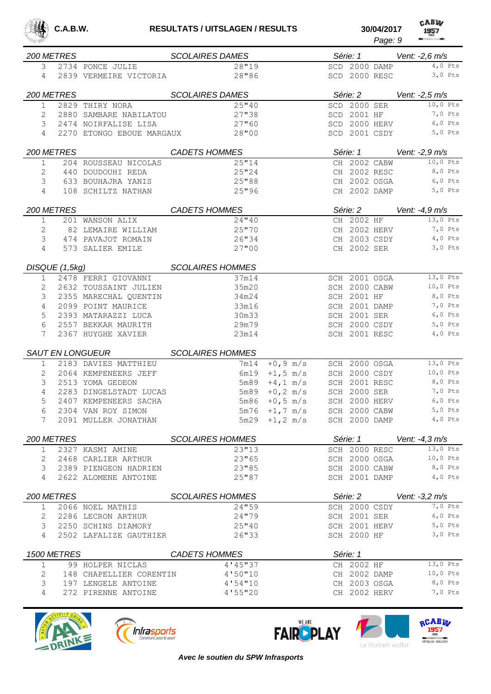

CABW

|            |                |                           |                         |                   |                 | Page: 9 | <b>REGISTER ATTACKET FOR CLUBBERS</b> |
|------------|----------------|---------------------------|-------------------------|-------------------|-----------------|---------|---------------------------------------|
| 200 METRES |                |                           | <b>SCOLAIRES DAMES</b>  |                   | Série: 1        |         | Vent: -2,6 m/s                        |
| 3          |                | 2734 PONCE JULIE          | 28"19                   |                   | SCD 2000 DAMP   |         | $4,0$ Pts                             |
| 4          |                | 2839 VERMEIRE VICTORIA    | 28"86                   |                   | SCD 2000 RESC   |         | $3,0$ Pts                             |
| 200 METRES |                |                           | <b>SCOLAIRES DAMES</b>  |                   | Série: 2        |         | Vent: -2,5 m/s                        |
| 1          |                | 2829 THIRY NORA           | 25''40                  |                   | 2000 SER<br>SCD |         | 10,0 Pts                              |
| 2          |                | 2880 SAMBARE NABILATOU    | 27"38                   |                   | 2001 HF<br>SCD  |         | 7,0 Pts                               |
| 3          |                | 2474 NOIRFALISE LISA      | 27"60                   |                   | SCD 2000 HERV   |         | $6,0$ Pts                             |
| 4          |                | 2270 ETONGO EBOUE MARGAUX | 28"00                   |                   | SCD 2001 CSDY   |         | 5,0 Pts                               |
| 200 METRES |                |                           | <b>CADETS HOMMES</b>    |                   | Série: 1        |         | Vent: -2,9 m/s                        |
| 1          |                | 204 ROUSSEAU NICOLAS      | 25''14                  |                   | CH 2002 CABW    |         | 10,0 Pts                              |
| 2          |                | 440 DOUDOUHI REDA         | 25"24                   |                   | CH 2002 RESC    |         | 8,0 Pts                               |
| 3          |                | 633 BOUHAJRA YANIS        | 25"88                   |                   | CH 2002 OSGA    |         | $6,0$ Pts                             |
| 4          |                | 108 SCHILTZ NATHAN        | 25"96                   |                   | CH 2002 DAMP    |         | 5,0 Pts                               |
| 200 METRES |                |                           | <b>CADETS HOMMES</b>    |                   | Série: 2        |         | Vent: -4,9 m/s                        |
| 1          |                | 201 WANSON ALIX           | 24''40                  |                   | CH 2002 HF      |         | 13,0 Pts                              |
| 2          |                | 82 LEMAIRE WILLIAM        | 25''70                  |                   | CH 2002 HERV    |         | 7,0 Pts                               |
| 3          |                | 474 PAVAJOT ROMAIN        | 26"34                   |                   | CH 2003 CSDY    |         | $4,0$ Pts                             |
| 4          |                | 573 SALIER EMILE          | 27"00                   |                   | CH 2002 SER     |         | $3,0$ Pts                             |
|            | DISQUE (1,5kg) |                           | <b>SCOLAIRES HOMMES</b> |                   |                 |         |                                       |
| 1          |                | 2478 FERRI GIOVANNI       | 37m14                   |                   | SCH 2001 OSGA   |         | 13,0 Pts                              |
| 2          |                | 2632 TOUSSAINT JULIEN     | 35m20                   |                   | SCH 2000 CABW   |         | 10,0 Pts                              |
| 3          |                | 2355 MARECHAL QUENTIN     | 34m24                   |                   | SCH 2001 HF     |         | 8,0 Pts                               |
| 4          |                | 2099 POINT MAURICE        | 33m16                   |                   | SCH 2001 DAMP   |         | 7,0 Pts                               |
| 5          |                | 2393 MATARAZZI LUCA       | 30m33                   |                   | SCH 2001 SER    |         | $6,0$ Pts                             |
| 6          |                | 2557 BEKKAR MAURITH       | 29m79                   |                   | SCH 2000 CSDY   |         | $5,0$ Pts                             |
| 7          |                | 2367 HUYGHE XAVIER        | 23m14                   |                   | SCH 2001 RESC   |         | $4,0$ Pts                             |
|            |                | <b>SAUT EN LONGUEUR</b>   | <b>SCOLAIRES HOMMES</b> |                   |                 |         |                                       |
| 1          |                | 2183 DAVIES MATTHIEU      | 7m14                    | $+0, 9$ m/s       | SCH 2000 OSGA   |         | 13,0 Pts                              |
| 2          |                | 2064 KEMPENEERS JEFF      | 6m19                    | $+1, 5$ m/s       | SCH 2000 CSDY   |         | $10,0$ Pts                            |
| 3          |                | 2513 YOMA GEDEON          | 5m89                    | $+4$ , 1 m/s      | SCH 2001 RESC   |         | 8,0 Pts                               |
| 4          |                | 2283 DINGELSTADT LUCAS    | 5m89                    | $+0, 2 \, m/s$    | SCH 2000 SER    |         | 7,0 Pts                               |
| 5          |                | 2407 KEMPENEERS SACHA     | 5m86                    | $+0, 5$ m/s       | SCH 2000 HERV   |         | $6,0$ Pts                             |
| 6          |                | 2304 VAN ROY SIMON        |                         | $5m76 + 1, 7 m/s$ | SCH 2000 CABW   |         | $5,0$ Pts                             |
| 7          |                | 2091 MULLER JONATHAN      |                         | $5m29 + 1, 2 m/s$ | SCH 2000 DAMP   |         | $4,0$ Pts                             |
|            | 200 METRES     |                           | <b>SCOLAIRES HOMMES</b> |                   | Série: 1        |         | Vent: $-4.3$ m/s                      |
| 1          |                | 2327 KASMI AMINE          | 23''13                  |                   | SCH 2000 RESC   |         | $13,0$ Pts                            |
| 2          |                | 2468 CARLIER ARTHUR       | 23"65                   |                   | SCH 2000 OSGA   |         | 10,0 Pts                              |
| 3          |                | 2389 PIENGEON HADRIEN     | 23''85                  |                   | SCH 2000 CABW   |         | 8,0 Pts                               |
| 4          |                | 2622 ALOMENE ANTOINE      | 25"87                   |                   | SCH 2001 DAMP   |         | $4,0$ Pts                             |
| 200 METRES |                |                           | <b>SCOLAIRES HOMMES</b> |                   | Série: 2        |         | Vent: $-3.2$ m/s                      |
| 1          |                | 2066 NOEL MATHIS          | 24"59                   |                   | SCH 2000 CSDY   |         | 7,0 Pts                               |
| 2          |                | 2286 LECRON ARTHUR        | 24"79                   |                   | SCH 2001 SER    |         | $6,0$ Pts                             |
| 3          |                | 2250 SCHINS DIAMORY       | 25''40                  |                   | SCH 2001 HERV   |         | $5,0$ Pts                             |
| 4          |                | 2502 LAFALIZE GAUTHIER    | 26"33                   |                   | SCH 2000 HF     |         | $3,0$ Pts                             |
|            | 1500 METRES    |                           | <b>CADETS HOMMES</b>    |                   | Série: 1        |         |                                       |
| 1          |                | 99 HOLPER NICLAS          | 4'145''37               |                   | CH 2002 HF      |         | 13,0 Pts                              |
| 2          |                | 148 CHAPELLIER CORENTIN   | 4'50''10                |                   | CH 2002 DAMP    |         | $10,0$ Pts                            |
| 3          |                | 197 LENGELE ANTOINE       | 4'54''10                |                   | CH 2003 OSGA    |         | 8,0 Pts                               |
| 4          |                | 272 PIRENNE ANTOINE       | 4'55''20                |                   | CH 2002 HERV    |         | 7,0 Pts                               |
|            |                |                           |                         |                   |                 |         |                                       |







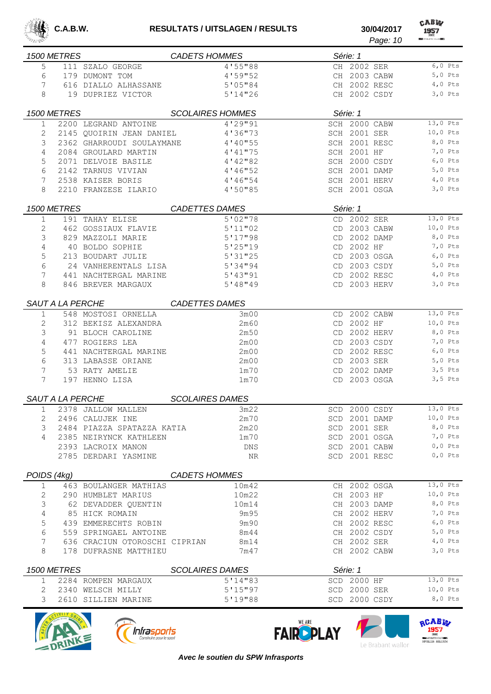

| 科技学家         |                         |                                                       |                         |     | Page: 10                            | <b>REGISTATIVE ETTIC CLUB BEEN</b> |
|--------------|-------------------------|-------------------------------------------------------|-------------------------|-----|-------------------------------------|------------------------------------|
|              | 1500 METRES             |                                                       | <b>CADETS HOMMES</b>    |     | Série: 1                            |                                    |
| 5            |                         | 111 SZALO GEORGE                                      | 4'55"88                 |     | CH 2002 SER                         | $6,0$ Pts                          |
| 6            |                         | 179 DUMONT TOM                                        | 4'59''52                |     | CH 2003 CABW                        | $5,0$ Pts                          |
| 7            |                         | 616 DIALLO ALHASSANE                                  | 5'05''84                |     | CH 2002 RESC                        | 4,0 Pts                            |
| 8            |                         | 19 DUPRIEZ VICTOR                                     | 5'14''26                |     | CH 2002 CSDY                        | $3,0$ Pts                          |
|              | 1500 METRES             |                                                       | <b>SCOLAIRES HOMMES</b> |     |                                     |                                    |
|              |                         |                                                       | 4'29''91                |     | Série: 1                            | 13,0 Pts                           |
| $\mathbf 1$  |                         | 2200 LEGRAND ANTOINE                                  | 4'36"73                 |     | SCH 2000 CABW<br>SCH 2001 SER       | 10,0 Pts                           |
| 2<br>3       |                         | 2145 OUOIRIN JEAN DANIEL<br>2362 GHARROUDI SOULAYMANE |                         |     |                                     | 8,0 Pts                            |
| 4            |                         | 2084 GROULARD MARTIN                                  | 4'40"55<br>$4'$ 41"75   |     | SCH 2001 RESC<br><b>SCH 2001 HF</b> | 7,0 Pts                            |
| 5            |                         | 2071 DELVOIE BASILE                                   | $4'$ 42"82              |     | 2000 CSDY                           | $6,0$ Pts                          |
| 6            |                         | 2142 TARNUS VIVIAN                                    |                         | SCH | SCH 2001 DAMP                       | $5,0$ Pts                          |
| 7            |                         |                                                       | 4'46"52                 |     | SCH 2001 HERV                       | $4,0$ Pts                          |
|              |                         | 2538 KAISER BORIS                                     | 4'46"54                 |     | SCH 2001 OSGA                       | $3,0$ Pts                          |
| 8            |                         | 2210 FRANZESE ILARIO                                  | 4'50"85                 |     |                                     |                                    |
|              | 1500 METRES             |                                                       | <b>CADETTES DAMES</b>   |     | Série: 1                            |                                    |
| 1            |                         | 191 TAHAY ELISE                                       | 5'02''78                |     | CD 2002 SER                         | 13,0 Pts                           |
| 2            |                         | 462 GOSSIAUX FLAVIE                                   | 5'11''02                |     | CD 2003 CABW                        | 10,0 Pts                           |
| 3            |                         | 829 MAZZOLI MARIE                                     | 5'17''98                |     | CD 2002 DAMP                        | 8,0 Pts                            |
| 4            |                         | 40 BOLDO SOPHIE                                       | 5'25''19                |     | CD 2002 HF                          | 7,0 Pts                            |
| 5            |                         | 213 BOUDART JULIE                                     | 5'31''25                |     | CD 2003 OSGA                        | $6,0$ Pts                          |
| 6            |                         | 24 VANHERENTALS LISA                                  | 5'34''94                |     | CD 2003 CSDY                        | $5,0$ Pts                          |
| 7            |                         | 441 NACHTERGAL MARINE                                 | 5'13''91                | CD  | 2002 RESC                           | 4,0 Pts                            |
| 8            |                         | 846 BREVER MARGAUX                                    | 5'18''19                |     | CD 2003 HERV                        | $3,0$ Pts                          |
|              | SAUT A LA PERCHE        |                                                       | <b>CADETTES DAMES</b>   |     |                                     |                                    |
| 1            |                         | 548 MOSTOSI ORNELLA                                   | 3m00                    | CD  | 2002 CABW                           | 13,0 Pts                           |
| 2            |                         | 312 BEKISZ ALEXANDRA                                  | 2m60                    | CD  | 2002 HF                             | $10,0$ Pts                         |
| 3            |                         | 91 BLOCH CAROLINE                                     | 2m50                    | CD  | 2002 HERV                           | 8,0 Pts                            |
| 4            |                         | 477 ROGIERS LEA                                       | 2m00                    |     | CD 2003 CSDY                        | 7,0 Pts                            |
| 5            |                         | 441 NACHTERGAL MARINE                                 | 2m00                    | CD  | 2002 RESC                           | $6,0$ Pts                          |
| 6            |                         | 313 LABASSE ORIANE                                    | 2m00                    | CD  | 2003 SER                            | 5,0 Pts                            |
| 7            |                         | 53 RATY AMELIE                                        | 1 <sub>m</sub> 70       | CD  | 2002 DAMP                           | $3,5$ Pts                          |
| 7            |                         | 197 HENNO LISA                                        | 1 <sub>m</sub> 70       | CD  | 2003 OSGA                           | $3,5$ Pts                          |
|              | <b>SAUT A LA PERCHE</b> |                                                       | <b>SCOLAIRES DAMES</b>  |     |                                     |                                    |
|              |                         |                                                       |                         |     |                                     |                                    |
| 1            |                         | 2378 JALLOW MALLEN                                    | 3m22                    |     | SCD 2000 CSDY                       | 13,0 Pts                           |
| 2            |                         | 2496 CALUJEK INE                                      | 2m70                    |     | SCD 2001 DAMP                       | $10,0$ Pts<br>8,0 Pts              |
| 3            |                         | 2484 PIAZZA SPATAZZA KATIA                            | 2m20                    |     | SCD 2001 SER                        |                                    |
| 4            |                         | 2385 NEIRYNCK KATHLEEN                                | 1m70                    |     | SCD 2001 OSGA                       | $7,0$ Pts<br>$0,0$ Pts             |
|              |                         | 2393 LACROIX MANON<br>2785 DERDARI YASMINE            | DNS<br>ΝR               |     | SCD 2001 CABW<br>SCD 2001 RESC      | $0,0$ Pts                          |
|              |                         |                                                       |                         |     |                                     |                                    |
| POIDS (4kg)  |                         |                                                       | <b>CADETS HOMMES</b>    |     |                                     |                                    |
| $\mathbf{1}$ |                         | 463 BOULANGER MATHIAS                                 | 10m42                   |     | CH 2002 OSGA                        | $13,0$ Pts                         |
| 2            |                         | 290 HUMBLET MARIUS                                    | 10m22                   |     | CH 2003 HF                          | $10,0$ Pts                         |
| 3            |                         | 62 DEVADDER QUENTIN                                   | 10m14                   |     | CH 2003 DAMP                        | $8,0$ Pts                          |
| 4            |                         | 85 HICK ROMAIN                                        | 9m95                    |     | CH 2002 HERV                        | 7,0 Pts                            |
| 5            |                         | 439 EMMERECHTS ROBIN                                  | 9m90                    |     | CH 2002 RESC                        | $6,0$ Pts                          |
| 6            |                         | 559 SPRINGAEL ANTOINE                                 | 8m44                    |     | CH 2002 CSDY                        | $5,0$ Pts                          |
| 7            |                         | 636 CRACIUN OTOROSCHI CIPRIAN                         | 8m14                    |     | CH 2002 SER                         | $4,0$ Pts                          |
| 8            |                         | 178 DUFRASNE MATTHIEU                                 | 7m47                    |     | CH 2002 CABW                        | $3,0$ Pts                          |
|              | 1500 METRES             |                                                       | <b>SCOLAIRES DAMES</b>  |     | Série: 1                            |                                    |
| 1            |                         | 2284 ROMPEN MARGAUX                                   | 5'14''83                |     | SCD 2000 HF                         | 13,0 Pts                           |
| 2            |                         | 2340 WELSCH MILLY                                     | 5'15''97                |     | SCD 2000 SER                        | $10,0$ Pts                         |
| 3            |                         | 2610 SILLIEN MARINE                                   | 5'19''88                |     | SCD 2000 CSDY                       | 8,0 Pts                            |
|              |                         |                                                       |                         |     |                                     |                                    |







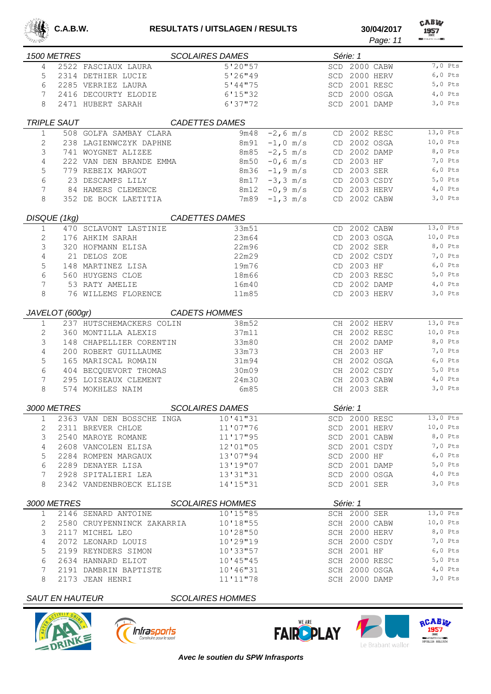

|                 |                        |                            |                         |                   |                    | Page: 11                       | <b>REMATHLETIC CLUB BEAT</b> |
|-----------------|------------------------|----------------------------|-------------------------|-------------------|--------------------|--------------------------------|------------------------------|
|                 | 1500 METRES            |                            | <b>SCOLAIRES DAMES</b>  |                   | Série: 1           |                                |                              |
| 4               |                        | 2522 FASCIAUX LAURA        | 5'20''57                |                   |                    | SCD 2000 CABW                  | 7,0 Pts                      |
| 5               |                        | 2314 DETHIER LUCIE         | 5'26''49                |                   |                    | SCD 2000 HERV                  | $6,0$ Pts                    |
| 6               |                        | 2285 VERRIEZ LAURA         | 5'44''75                |                   |                    | SCD 2001 RESC                  | $5,0$ Pts                    |
| 7               |                        | 2416 DECOURTY ELODIE       | 6'15''32                |                   |                    | SCD 2000 OSGA                  | $4,0$ Pts                    |
| 8               |                        | 2471 HUBERT SARAH          | 6'37''72                |                   |                    | SCD 2001 DAMP                  | $3,0$ Pts                    |
|                 | <b>TRIPLE SAUT</b>     |                            | <b>CADETTES DAMES</b>   |                   |                    |                                |                              |
| 1               |                        | 508 GOLFA SAMBAY CLARA     | 9m48                    | $-2, 6$ m/s       |                    | CD 2002 RESC                   | 13,0 Pts                     |
| 2               |                        | 238 LAGIENWCZYK DAPHNE     | 8m91                    | $-1, 0$ m/s       |                    | CD 2002 OSGA                   | 10,0 Pts                     |
| 3               |                        | 741 WOYGNET ALIZEE         |                         | $8m85 - 2, 5 m/s$ |                    | CD 2002 DAMP                   | 8,0 Pts                      |
| 4               |                        | 222 VAN DEN BRANDE EMMA    | 8m50                    | $-0, 6$ m/s       | CD 2003 HF         |                                | 7,0 Pts                      |
| 5               |                        | 779 REBEIX MARGOT          |                         | $8m36 - 1, 9 m/s$ | CD 2003 SER        |                                | $6,0$ Pts                    |
| 6               |                        | 23 DESCAMPS LILY           | 8m17                    | $-3, 3$ m/s       |                    | CD 2003 CSDY                   | 5,0 Pts                      |
| 7               |                        | 84 HAMERS CLEMENCE         | 8m12                    | $-0, 9$ m/s       |                    | CD 2003 HERV                   | $4,0$ Pts                    |
| 8               |                        | 352 DE BOCK LAETITIA       | 7m89                    | $-1, 3$ m/s       |                    | CD 2002 CABW                   | $3,0$ Pts                    |
|                 | DISQUE (1kg)           |                            | <b>CADETTES DAMES</b>   |                   |                    |                                |                              |
| $\mathbf{1}$    |                        | 470 SCLAVONT LASTINIE      | 33m51                   |                   |                    | CD 2002 CABW                   | 13,0 Pts                     |
| 2               |                        | 176 AHKIM SARAH            | 23m64                   |                   |                    | CD 2003 OSGA                   | 10,0 Pts                     |
| 3               |                        | 320 HOFMANN ELISA          | 22m96                   |                   | CD 2002 SER        |                                | 8,0 Pts                      |
| 4               |                        | 21 DELOS ZOE               | 22m29                   |                   |                    | CD 2002 CSDY                   | 7,0 Pts                      |
| 5               |                        | 148 MARTINEZ LISA          | 19m76                   |                   | CD 2003 HF         |                                | $6,0$ Pts                    |
| 6               |                        | 560 HUYGENS CLOE           | 18m66                   |                   |                    | CD 2003 RESC                   | $5,0$ Pts                    |
| 7               |                        | 53 RATY AMELIE             | 16m40                   |                   |                    | CD 2002 DAMP                   | $4,0$ Pts                    |
| 8               |                        | 76 WILLEMS FLORENCE        | 11m85                   |                   |                    | CD 2003 HERV                   | $3,0$ Pts                    |
| JAVELOT (600gr) |                        |                            | <b>CADETS HOMMES</b>    |                   |                    |                                |                              |
| $\mathbf 1$     |                        | 237 HUTSCHEMACKERS COLIN   | 38m52                   |                   |                    | CH 2002 HERV                   | 13,0 Pts                     |
| 2               |                        | 360 MONTILLA ALEXIS        | 37m11                   |                   |                    | CH 2002 RESC                   | $10,0$ Pts                   |
| 3               |                        | 148 CHAPELLIER CORENTIN    | 33m80                   |                   |                    | CH 2002 DAMP                   | 8,0 Pts                      |
| $\overline{4}$  |                        | 200 ROBERT GUILLAUME       | 33m73                   |                   | CH 2003 HF         |                                | 7,0 Pts                      |
| 5               |                        | 165 MARISCAL ROMAIN        | 31m94                   |                   |                    | CH 2002 OSGA                   | $6,0$ Pts                    |
| 6               |                        | 404 BECQUEVORT THOMAS      | 30m09                   |                   |                    | CH 2002 CSDY                   | 5,0 Pts                      |
| 7               |                        | 295 LOISEAUX CLEMENT       | 24m30                   |                   |                    | CH 2003 CABW                   | $4,0$ Pts                    |
| 8               |                        | 574 MOKHLES NAIM           | 6m85                    |                   | CH 2003 SER        |                                | 3,0 Pts                      |
|                 | 3000 METRES            |                            | <b>SCOLAIRES DAMES</b>  |                   | Série: 1           |                                |                              |
|                 |                        | 2363 VAN DEN BOSSCHE INGA  |                         |                   |                    |                                | 13,0 Pts                     |
| 1               |                        | 2311 BREVER CHLOE          | 10'41"31<br>11'07"76    |                   |                    | SCD 2000 RESC<br>SCD 2001 HERV | 10,0 Pts                     |
| 2<br>3          |                        | 2540 MAROYE ROMANE         | 11'17"95                |                   |                    | SCD 2001 CABW                  | 8,0 Pts                      |
| 4               |                        | 2608 VANCOLEN ELISA        | 12'01"05                |                   |                    | SCD 2001 CSDY                  | 7,0 Pts                      |
| 5               |                        | 2284 ROMPEN MARGAUX        | 13'07"94                |                   | <b>SCD 2000 HF</b> |                                | $6,0$ Pts                    |
| 6               |                        | 2289 DENAYER LISA          | 13'19"07                |                   |                    | SCD 2001 DAMP                  | $5,0$ Pts                    |
| 7               |                        | 2928 SPITALIERI LEA        | 13'31"31                |                   |                    | SCD 2000 OSGA                  | $4,0$ Pts                    |
| 8               |                        | 2342 VANDENBROECK ELISE    | 14'15"31                |                   | SCD 2001 SER       |                                | $3,0$ Pts                    |
|                 |                        |                            |                         |                   |                    |                                |                              |
|                 | 3000 METRES            |                            | <b>SCOLAIRES HOMMES</b> |                   | Série: 1           |                                |                              |
| 1               |                        | 2146 SENARD ANTOINE        | 10'15"85                |                   | SCH 2000 SER       |                                | $13,0$ Pts                   |
| 2               |                        | 2580 CRUYPENNINCK ZAKARRIA | 10'18"55                |                   |                    | SCH 2000 CABW                  | 10,0 Pts                     |
| 3               |                        | 2117 MICHEL LEO            | 10'28"50                |                   |                    | SCH 2000 HERV                  | 8,0 Pts                      |
| 4               |                        | 2072 LEONARD LOUIS         | 10'29"19                |                   |                    | SCH 2000 CSDY                  | 7,0 Pts                      |
| 5               |                        | 2199 REYNDERS SIMON        | 10'33"57                |                   | <b>SCH 2001 HF</b> |                                | $6,0$ Pts                    |
| 6               |                        | 2634 HANNARD ELIOT         | 10'145''45              |                   |                    | SCH 2000 RESC                  | $5,0$ Pts                    |
| 7               |                        | 2191 DAMBRIN BAPTISTE      | 10'46"31                |                   |                    | SCH 2000 OSGA                  | $4,0$ Pts<br>$3,0$ Pts       |
| 8               |                        | 2173 JEAN HENRI            | 11'11"78                |                   | SCH 2000 DAMP      |                                |                              |
|                 | <b>SAUT EN HAUTEUR</b> |                            | <b>SCOLAIRES HOMMES</b> |                   |                    |                                |                              |







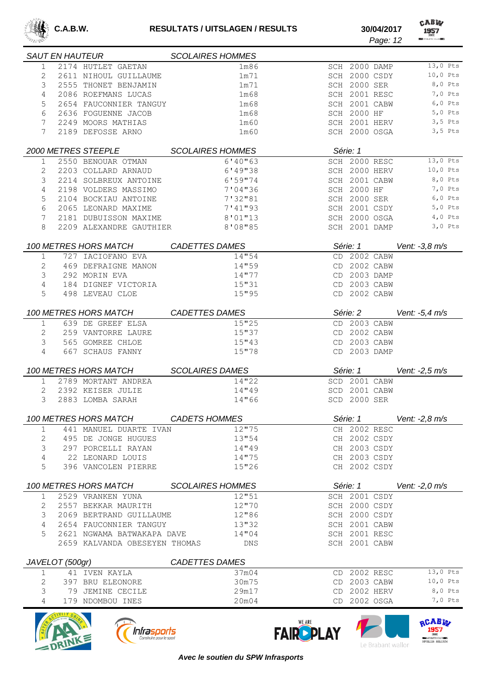

CABW *Page: 12*

|                                          | <b>SAUT EN HAUTEUR</b>                   | <b>SCOLAIRES HOMMES</b> |  |                                |                  |
|------------------------------------------|------------------------------------------|-------------------------|--|--------------------------------|------------------|
| 1                                        | 2174 HUTLET GAETAN                       | 1m86                    |  | SCH 2000 DAMP                  | $13,0$ Pts       |
| 2                                        | 2611 NIHOUL GUILLAUME                    | 1m71                    |  | SCH 2000 CSDY                  | 10,0 Pts         |
| 3                                        | 2555 THONET BENJAMIN                     | 1m71                    |  | SCH 2000 SER                   | 8,0 Pts          |
| 4                                        | 2086 ROEFMANS LUCAS                      | 1m68                    |  | SCH 2001 RESC                  | 7,0 Pts          |
| 5                                        | 2654 FAUCONNIER TANGUY                   | 1m68                    |  | SCH 2001 CABW                  | $6,0$ Pts        |
| 6                                        | 2636 FOGUENNE JACOB                      | 1m68                    |  | SCH 2000 HF                    | $5,0$ Pts        |
| 7                                        | 2249 MOORS MATHIAS                       | 1 <sub>m</sub> 60       |  | SCH 2001 HERV                  | $3,5$ Pts        |
| 7                                        | 2189 DEFOSSE ARNO                        | 1 <sub>m</sub> 60       |  | SCH 2000 OSGA                  | $3,5$ Pts        |
|                                          | 2000 METRES STEEPLE                      | <b>SCOLAIRES HOMMES</b> |  | Série: 1                       |                  |
| 1                                        | 2550 BENOUAR OTMAN                       | 6'40''63                |  | SCH 2000 RESC                  | 13,0 Pts         |
| 2                                        | 2203 COLLARD ARNAUD                      | 6'19''38                |  | SCH 2000 HERV                  | 10,0 Pts         |
| 3                                        | 2214 SOLBREUX ANTOINE                    | 6'59"74                 |  | SCH 2001 CABW                  | 8,0 Pts          |
| 4                                        | 2198 VOLDERS MASSIMO                     | 7'04"36                 |  | <b>SCH 2000 HF</b>             | 7,0 Pts          |
| 5                                        | 2104 BOCKIAU ANTOINE                     | 7'32"81                 |  | SCH 2000 SER                   | $6,0$ Pts        |
| 6                                        | 2065 LEONARD MAXIME                      | 7'41"93                 |  | SCH 2001 CSDY                  | $5,0$ Pts        |
| 7                                        | 2181 DUBUISSON MAXIME                    | 8'01"13                 |  | SCH 2000 OSGA                  | $4,0$ Pts        |
| 8                                        | 2209 ALEXANDRE GAUTHIER                  | 8'08"85                 |  | SCH 2001 DAMP                  | $3,0$ Pts        |
|                                          | 100 METRES HORS MATCH                    | <b>CADETTES DAMES</b>   |  | Série: 1                       | Vent: -3,8 m/s   |
| $\mathbf 1$                              | 727 IACIOFANO EVA                        | 14"54                   |  | CD 2002 CABW                   |                  |
| 2                                        | 469 DEFRAIGNE MANON                      | 14"59                   |  | CD 2002 CABW                   |                  |
| 3                                        | 292 MORIN EVA                            | 14"77                   |  | CD 2003 DAMP                   |                  |
| 4                                        | 184 DIGNEF VICTORIA                      | 15"31                   |  | CD 2003 CABW                   |                  |
| 5                                        | 498 LEVEAU CLOE                          | 15"95                   |  | CD 2002 CABW                   |                  |
|                                          | 100 METRES HORS MATCH                    | <b>CADETTES DAMES</b>   |  | Série: 2                       | Vent: $-5.4$ m/s |
| 1                                        | 639 DE GREEF ELSA                        | 15''25                  |  | CD 2003 CABW                   |                  |
| 2                                        | 259 VANTORRE LAURE                       | 15"37                   |  | CD 2002 CABW                   |                  |
| 3                                        | 565 GOMREE CHLOE                         | 15''43                  |  | CD 2003 CABW                   |                  |
| 4                                        | 667 SCHAUS FANNY                         | 15''78                  |  | CD 2003 DAMP                   |                  |
|                                          | 100 METRES HORS MATCH                    | <b>SCOLAIRES DAMES</b>  |  | Série: 1                       | Vent: -2,5 m/s   |
|                                          |                                          |                         |  |                                |                  |
| 1                                        | 2789 MORTANT ANDREA<br>2392 KEISER JULIE | 14"22                   |  | SCD 2001 CABW<br>SCD 2001 CABW |                  |
| 2                                        |                                          | 14"49                   |  |                                |                  |
| 3                                        | 2883 LOMBA SARAH                         | 14"66                   |  | SCD 2000 SER                   |                  |
|                                          | 100 METRES HORS MATCH                    | CADETS HOMMES           |  | Série: 1                       | Vent: -2,8 m/s   |
| 1                                        | 441 MANUEL DUARTE IVAN                   | 12''75                  |  | CH 2002 RESC                   |                  |
| 2                                        | 495 DE JONGE HUGUES                      | 13"54                   |  | CH 2002 CSDY                   |                  |
| 3                                        | 297 PORCELLI RAYAN                       | 14"49                   |  | CH 2003 CSDY                   |                  |
| 4                                        | 22 LEONARD LOUIS                         | 14"75                   |  | CH 2003 CSDY                   |                  |
| 5                                        | 396 VANCOLEN PIERRE                      | 15"26                   |  | CH 2002 CSDY                   |                  |
|                                          | 100 METRES HORS MATCH                    | <b>SCOLAIRES HOMMES</b> |  | Série: 1                       | Vent: $-2,0$ m/s |
| 1                                        | 2529 VRANKEN YUNA                        | 12"51                   |  | SCH 2001 CSDY                  |                  |
| 2                                        | 2557 BEKKAR MAURITH                      | 12"70                   |  | SCH 2000 CSDY                  |                  |
| 3                                        | 2069 BERTRAND GUILLAUME                  | 12"86                   |  | SCH 2000 CSDY                  |                  |
| 4                                        | 2654 FAUCONNIER TANGUY                   | 13"32                   |  | SCH 2001 CABW                  |                  |
| 5                                        | 2621 NGWAMA BATWAKAPA DAVE               | 14"04                   |  | SCH 2001 RESC                  |                  |
|                                          | 2659 KALVANDA OBESEYEN THOMAS            | DNS                     |  | SCH 2001 CABW                  |                  |
| <b>CADETTES DAMES</b><br>JAVELOT (500gr) |                                          |                         |  |                                |                  |
| 1                                        | 41 IVEN KAYLA                            | 37m04                   |  | CD 2002 RESC                   | 13,0 Pts         |
| 2                                        | 397 BRU ELEONORE                         | 30m75                   |  | CD 2003 CABW                   | 10,0 Pts         |
| 3                                        | 79 JEMINE CECILE                         | 29m17                   |  | CD 2002 HERV                   | 8,0 Pts          |
| 4                                        | 179 NDOMBOU INES                         | 20m04                   |  | CD 2002 OSGA                   | $7,0$ Pts        |
|                                          |                                          |                         |  |                                |                  |







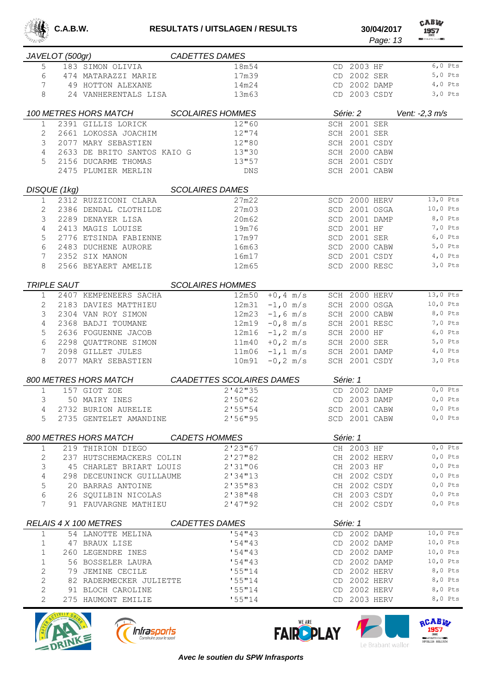

CABW

| JAVELOT (500gr)       |                    |                             | <b>CADETTES DAMES</b>     |                               |               |           |                |
|-----------------------|--------------------|-----------------------------|---------------------------|-------------------------------|---------------|-----------|----------------|
| 5                     |                    | 183 SIMON OLIVIA            | 18m54                     |                               | CD 2003 HF    |           | $6,0$ Pts      |
| 6                     |                    | 474 MATARAZZI MARIE         | 17m39                     |                               | CD 2002 SER   |           | $5,0$ Pts      |
| 7                     |                    | 49 HOTTON ALEXANE           | 14m24                     |                               | CD 2002 DAMP  |           | $4,0$ Pts      |
| 8                     |                    | 24 VANHERENTALS LISA        | 13m63                     |                               | CD 2003 CSDY  |           | $3,0$ Pts      |
|                       |                    | 100 METRES HORS MATCH       | <b>SCOLAIRES HOMMES</b>   |                               | Série: 2      |           | Vent: -2,3 m/s |
| $\mathbf 1$           |                    | 2391 GILLIS LORICK          | 12"60                     |                               | SCH 2001 SER  |           |                |
| 2                     |                    | 2661 LOKOSSA JOACHIM        | 12''74                    |                               | SCH 2001 SER  |           |                |
| 3                     |                    | 2077 MARY SEBASTIEN         | 12"80                     |                               | SCH 2001 CSDY |           |                |
| 4                     |                    | 2633 DE BRITO SANTOS KAIO G | 13"30                     |                               | SCH 2000 CABW |           |                |
| 5                     |                    | 2156 DUCARME THOMAS         | 13"57                     |                               | SCH 2001 CSDY |           |                |
|                       |                    | 2475 PLUMIER MERLIN         | <b>DNS</b>                |                               | SCH 2001 CABW |           |                |
|                       | DISQUE (1kg)       |                             | <b>SCOLAIRES DAMES</b>    |                               |               |           |                |
| 1                     |                    | 2312 RUZZICONI CLARA        | 27m22                     |                               | SCD 2000 HERV |           | 13,0 Pts       |
| 2                     |                    | 2386 DENDAL CLOTHILDE       | 27m03                     | $\operatorname{\mathsf{SCD}}$ |               | 2001 OSGA | 10,0 Pts       |
| 3                     |                    |                             |                           |                               |               | 2001 DAMP | 8,0 Pts        |
|                       |                    | 2289 DENAYER LISA           | 20m62                     | SCD                           |               |           | 7,0 Pts        |
| 4                     |                    | 2413 MAGIS LOUISE           | 19m76                     |                               | SCD 2001 HF   |           |                |
| 5                     |                    | 2776 ETSINDA FABIENNE       | 17m97                     |                               | SCD 2001 SER  |           | $6,0$ Pts      |
| 6                     |                    | 2483 DUCHENE AURORE         | 16m63                     |                               | SCD 2000 CABW |           | 5,0 Pts        |
| 7                     |                    | 2352 SIX MANON              | 16m17                     |                               | SCD 2001 CSDY |           | $4,0$ Pts      |
| 8                     |                    | 2566 BEYAERT AMELIE         | 12m65                     |                               | SCD 2000 RESC |           | $3,0$ Pts      |
|                       | <b>TRIPLE SAUT</b> |                             | <b>SCOLAIRES HOMMES</b>   |                               |               |           |                |
| $\mathbf{1}$          |                    | 2407 KEMPENEERS SACHA       | 12m50                     | $+0, 4$ m/s                   | SCH 2000 HERV |           | 13,0 Pts       |
| 2                     |                    | 2183 DAVIES MATTHIEU        | 12m31                     | $-1,0$ m/s                    | SCH 2000 OSGA |           | 10,0 Pts       |
| 3                     |                    | 2304 VAN ROY SIMON          | 12m23                     | $-1, 6$ m/s                   | SCH 2000 CABW |           | 8,0 Pts        |
| 4                     |                    | 2368 BADJI TOUMANE          | 12m19                     | $-0, 8$ m/s                   | SCH 2001 RESC |           | 7,0 Pts        |
| 5                     |                    | 2636 FOGUENNE JACOB         | 12m16                     | $-1, 2$ m/s<br>SCH            | 2000 HF       |           | $6,0$ Pts      |
| 6                     |                    | 2298 QUATTRONE SIMON        |                           | $11m40 + 0, 2 m/s$            | SCH 2000 SER  |           | $5,0$ Pts      |
| 7                     |                    | 2098 GILLET JULES           |                           | $11m06 - 1, 1 m/s$            | SCH 2001 DAMP |           | $4,0$ Pts      |
| 8                     |                    | 2077 MARY SEBASTIEN         | 10m91                     | $-0, 2$ m/s                   | SCH 2001 CSDY |           | $3,0$ Pts      |
|                       |                    |                             |                           |                               |               |           |                |
|                       |                    | 800 METRES HORS MATCH       | CAADETTES SCOLAIRES DAMES |                               | Série: 1      |           |                |
| 1                     |                    | 157 GIOT ZOE                | 2'142''35                 |                               | CD 2002 DAMP  |           | $0, 0$ Pts     |
| 3                     |                    | 50 MAIRY INES               | 2'50''62                  |                               | CD 2003 DAMP  |           | $0, 0$ Pts     |
| 4                     |                    | 2732 BURION AURELIE         | 2'55''54                  |                               | SCD 2001 CABW |           | $0, 0$ Pts     |
| 5                     |                    | 2735 GENTELET AMANDINE      | 2'56''95                  |                               | SCD 2001 CABW |           | $0,0$ Pts      |
|                       |                    | 800 METRES HORS MATCH       | <b>CADETS HOMMES</b>      |                               | Série: 1      |           |                |
| 1                     |                    | 219 THIRION DIEGO           | 2'23''67                  |                               | CH 2003 HF    |           | $0,0$ Pts      |
| 2                     |                    | 237 HUTSCHEMACKERS COLIN    | 2'27''82                  |                               | CH 2002 HERV  |           | $0,0$ Pts      |
| 3                     |                    | 45 CHARLET BRIART LOUIS     | 2'31''06                  |                               | CH 2003 HF    |           | $0,0$ Pts      |
| 4                     |                    | 298 DECEUNINCK GUILLAUME    | 2'34''13                  |                               | CH 2002 CSDY  |           | $0,0$ Pts      |
| 5                     |                    | 20 BARRAS ANTOINE           | 2'35''83                  |                               | CH 2002 CSDY  |           | $0,0$ Pts      |
| 6                     |                    | 26 SQUILBIN NICOLAS         | 2'38"48                   |                               | CH 2003 CSDY  |           | $0,0$ Pts      |
| 7                     |                    | 91 FAUVARGNE MATHIEU        | 2'47''92                  |                               | CH 2002 CSDY  |           | $0,0$ Pts      |
| RELAIS 4 X 100 METRES |                    |                             |                           |                               |               |           |                |
|                       |                    |                             | <b>CADETTES DAMES</b>     |                               | Série: 1      |           |                |
| $\mathbf 1$           |                    | 54 LANOTTE MELINA           | 154''43                   |                               | CD 2002 DAMP  |           | $10,0$ Pts     |
| 1                     |                    | 47 BRAUX LISE               | 154''43                   |                               | CD 2002 DAMP  |           | 10,0 Pts       |
| 1                     |                    | 260 LEGENDRE INES           | 154''43                   |                               | CD 2002 DAMP  |           | 10,0 Pts       |
| $\mathbf 1$           |                    | 56 BOSSELER LAURA           | 154'13                    |                               | CD 2002 DAMP  |           | $10,0$ Pts     |
| $\overline{c}$        |                    | 79 JEMINE CECILE            | 155''14                   | CD                            | 2002 HERV     |           | 8,0 Pts        |
| $\overline{c}$        |                    | 82 RADERMECKER JULIETTE     | '55''14                   | CD                            | 2002 HERV     |           | 8,0 Pts        |
| $\overline{c}$        |                    | 91 BLOCH CAROLINE           | '55''14                   |                               | CD 2002 HERV  |           | 8,0 Pts        |
| $\overline{2}$        |                    | 275 HAUMONT EMILIE          | 155''14                   |                               | CD 2003 HERV  |           | 8,0 Pts        |







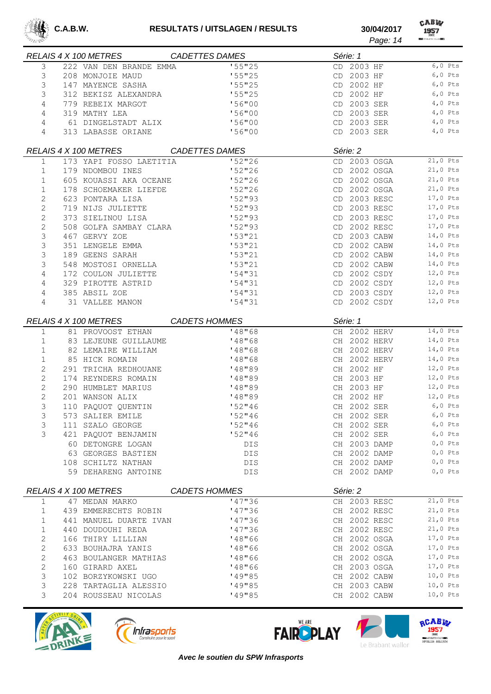

CABW 

|                | RELAIS 4 X 100 METRES   | <b>CADETTES DAMES</b> | Série: 1        |            |
|----------------|-------------------------|-----------------------|-----------------|------------|
| 3              | 222 VAN DEN BRANDE EMMA | '55"25                | CD 2003 HF      | $6,0$ Pts  |
| 3              | 208 MONJOIE MAUD        | '55"25                | CD 2003 HF      | $6,0$ Pts  |
| 3              | 147 MAYENCE SASHA       | '55"25                | 2002 HF<br>CD   | $6,0$ Pts  |
| 3              | 312 BEKISZ ALEXANDRA    | '55''25               | CD 2002 HF      | $6,0$ Pts  |
| 4              | 779 REBEIX MARGOT       | '56''00               | 2003 SER<br>CD  | $4,0$ Pts  |
| 4              | 319 MATHY LEA           | '56"00                | 2003 SER<br>CD  | $4,0$ Pts  |
| 4              | 61 DINGELSTADT ALIX     | '56''00               | 2003 SER<br>CD  | $4,0$ Pts  |
| 4              | 313 LABASSE ORIANE      | '56''00               | CD 2003 SER     | 4,0 Pts    |
|                |                         |                       |                 |            |
|                | RELAIS 4 X 100 METRES   | <b>CADETTES DAMES</b> | Série: 2        |            |
| $\mathbf{1}$   | 173 YAPI FOSSO LAETITIA | '52"26                | CD 2003 OSGA    | $21,0$ Pts |
| 1              | 179 NDOMBOU INES        | '52''26               | CD 2002 OSGA    | 21,0 Pts   |
| $\mathbf{1}$   | 605 KOUASSI AKA OCEANE  | '52''26               | 2002 OSGA<br>CD | 21,0 Pts   |
| $\mathbf{1}$   | 178 SCHOEMAKER LIEFDE   | 152''26               | 2002 OSGA<br>CD | 21,0 Pts   |
| $\mathbf{2}$   | 623 PONTARA LISA        | 152"93                | 2003 RESC<br>CD | 17,0 Pts   |
| $\overline{c}$ | 719 NIJS JULIETTE       | 152"93                | CD 2003 RESC    | 17,0 Pts   |
| $\overline{c}$ | 373 SIELINOU LISA       | 152"93                | CD 2003 RESC    | 17,0 Pts   |
| $\overline{c}$ | 508 GOLFA SAMBAY CLARA  | 152"93                | 2002 RESC<br>CD | 17,0 Pts   |
| 3              | 467 GERVY ZOE           | 153''21               | 2003 CABW<br>CD | 14,0 Pts   |
| 3              | 351 LENGELE EMMA        | 153''21               | 2002 CABW<br>CD | 14,0 Pts   |
| 3              | 189 GEENS SARAH         | 153''21               | 2002 CABW<br>CD | 14,0 Pts   |
| 3              | 548 MOSTOSI ORNELLA     | 153''21               | 2002 CABW<br>CD | 14,0 Pts   |
| 4              | 172 COULON JULIETTE     | 154"31                | 2002 CSDY<br>CD | 12,0 Pts   |
| 4              | 329 PIROTTE ASTRID      | '54''31               | 2002 CSDY<br>CD | 12,0 Pts   |
| 4              | 385 ABSIL ZOE           | '54''31               | CD 2003 CSDY    | 12,0 Pts   |
| 4              | 31 VALLEE MANON         | '54''31               | CD 2002 CSDY    | 12,0 Pts   |
|                |                         |                       |                 |            |
|                | RELAIS 4 X 100 METRES   | <b>CADETS HOMMES</b>  | Série: 1        |            |
| $\mathbf 1$    | 81 PROVOOST ETHAN       | '48''68               | CH 2002 HERV    | 14,0 Pts   |
| $\mathbf 1$    | 83 LEJEUNE GUILLAUME    | '48''68               | CH 2002 HERV    | 14,0 Pts   |
| 1              | 82 LEMAIRE WILLIAM      | '48''68               | CH 2002 HERV    | 14,0 Pts   |
| 1              | 85 HICK ROMAIN          | '48''68               | CH 2002 HERV    | 14,0 Pts   |
| 2              | 291 TRICHA REDHOUANE    | '48"89                | CH 2002 HF      | 12,0 Pts   |
| $\mathbf{2}$   | 174 REYNDERS ROMAIN     | '48"89                | CH 2003 HF      | 12,0 Pts   |
| $\mathbf{2}$   | 290 HUMBLET MARIUS      | '48"89                | CH 2003 HF      | 12,0 Pts   |
| $\overline{c}$ | 201 WANSON ALIX         | '48"89                | CH 2002 HF      | 12,0 Pts   |
| 3              | 110 PAQUOT QUENTIN      | 152''46               | CH 2002 SER     | $6,0$ Pts  |
| 3              | 573 SALIER EMILE        | 152''46               | CH 2002 SER     | $6,0$ Pts  |
|                |                         | 152''46               |                 | $6,0$ Pts  |
| 3              | 111 SZALO GEORGE        |                       | CH 2002 SER     |            |
| 3              | 421 PAQUOT BENJAMIN     | 152''46               | CH 2002 SER     | $6,0$ Pts  |
|                | 60 DETONGRE LOGAN       | DIS                   | CH 2003 DAMP    | $0,0$ Pts  |
|                | 63 GEORGES BASTIEN      | DIS.                  | CH 2002 DAMP    | $0,0$ Pts  |
|                | 108 SCHILTZ NATHAN      | <b>DIS</b>            | CH 2002 DAMP    | $0,0$ Pts  |
|                | 59 DEHARENG ANTOINE     | DIS.                  | CH 2002 DAMP    | $0,0$ Pts  |
|                | RELAIS 4 X 100 METRES   | <b>CADETS HOMMES</b>  | Série: 2        |            |
| 1              | 47 MEDAN MARKO          | '47"36                | CH 2003 RESC    | $21,0$ Pts |
| 1              | 439 EMMERECHTS ROBIN    | '47"36                | CH 2002 RESC    | $21,0$ Pts |
| 1              | 441 MANUEL DUARTE IVAN  | '47''36               | CH 2002 RESC    | $21,0$ Pts |
| 1              | 440 DOUDOUHI REDA       | '47"36                | CH 2002 RESC    | 21,0 Pts   |
| $\mathbf 2$    | 166 THIRY LILLIAN       | '48"66                | CH 2002 OSGA    | 17,0 Pts   |
| $\mathbf{2}$   | 633 BOUHAJRA YANIS      | '48"66                | CH 2002 OSGA    | 17,0 Pts   |
| $\mathbf{2}$   | 463 BOULANGER MATHIAS   | '48"66                | CH 2002 OSGA    | 17,0 Pts   |
| $\sqrt{2}$     | 160 GIRARD AXEL         | '48"66                | CH 2003 OSGA    | 17,0 Pts   |
| 3              | 102 BORZYKOWSKI UGO     | '49''85               | CH 2002 CABW    | 10,0 Pts   |
| 3              | 228 TARTAGLIA ALESSIO   | '49''85               | CH 2003 CABW    | 10,0 Pts   |
|                |                         |                       |                 | 10,0 Pts   |
| 3              | 204 ROUSSEAU NICOLAS    | '49"85                | CH 2002 CABW    |            |







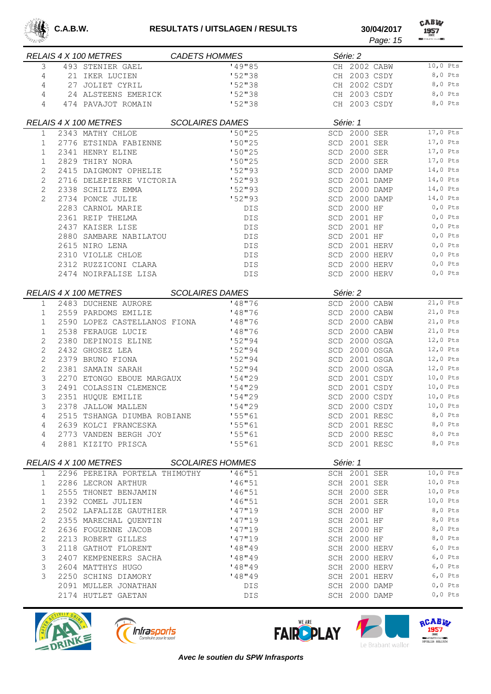

| <b>BARA SHEE</b> |                              |                                        |                        |            |          |                    | Page: 15      | <b>REMATHLETIC CLUB BEAT</b> |            |
|------------------|------------------------------|----------------------------------------|------------------------|------------|----------|--------------------|---------------|------------------------------|------------|
|                  | RELAIS 4 X 100 METRES        |                                        | <b>CADETS HOMMES</b>   |            |          | Série: 2           |               |                              |            |
| 3                |                              | 493 STENIER GAEL                       |                        | '49"85     |          |                    | CH 2002 CABW  | 10,0 Pts                     |            |
| 4                |                              | 21 IKER LUCIEN                         |                        | '52"38     |          |                    | CH 2003 CSDY  |                              | 8,0 Pts    |
| 4                |                              | 27 JOLIET CYRIL                        |                        | '52"38     |          |                    | CH 2002 CSDY  |                              | 8,0 Pts    |
| 4                |                              | 24 ALSTEENS EMERICK                    |                        | '52''38    |          |                    | CH 2003 CSDY  |                              | 8,0 Pts    |
| 4                |                              | 474 PAVAJOT ROMAIN                     |                        | '52"38     |          |                    | CH 2003 CSDY  |                              | 8,0 Pts    |
|                  | RELAIS 4 X 100 METRES        |                                        | <b>SCOLAIRES DAMES</b> |            |          | Série: 1           |               |                              |            |
| 1                | 2343 MATHY CHLOE             |                                        |                        | '50"25     |          | SCD 2000 SER       |               | 17,0 Pts                     |            |
| 1                |                              | 2776 ETSINDA FABIENNE                  |                        | '50''25    | SCD      | 2001 SER           |               | 17,0 Pts                     |            |
| 1                | 2341 HENRY ELINE             |                                        |                        | '50''25    |          | SCD 2000 SER       |               | 17,0 Pts                     |            |
| 1                | 2829 THIRY NORA              |                                        |                        | '50''25    |          | SCD 2000 SER       |               | 17,0 Pts                     |            |
| 2                |                              | 2415 DAIGMONT OPHELIE                  |                        | 152"93     |          |                    | SCD 2000 DAMP | 14,0 Pts                     |            |
| 2                |                              | 2716 DELEPIERRE VICTORIA               |                        | $152$ "93  | SCD      |                    | 2001 DAMP     | 14,0 Pts                     |            |
| $\mathbf{2}$     | 2338 SCHILTZ EMMA            |                                        |                        | 152"93     | SCD      |                    | 2000 DAMP     | 14,0 Pts                     |            |
| $\overline{2}$   | 2734 PONCE JULIE             |                                        |                        | 152"93     | SCD      | 2000 DAMP          |               | 14,0 Pts                     |            |
|                  | 2283 CARNOL MARIE            |                                        |                        | <b>DIS</b> |          | <b>SCD 2000 HF</b> |               |                              | $0,0$ Pts  |
|                  | 2361 REIP THELMA             |                                        |                        | DIS        |          | SCD 2001 HF        |               |                              | $0,0$ Pts  |
|                  | 2437 KAISER LISE             |                                        |                        | <b>DIS</b> |          | SCD 2001 HF        |               |                              | $0,0$ Pts  |
|                  |                              | 2880 SAMBARE NABILATOU                 |                        | <b>DIS</b> |          | SCD 2001 HF        |               |                              | $0, 0$ Pts |
|                  | 2615 NIRO LENA               |                                        |                        | <b>DIS</b> |          |                    | SCD 2001 HERV |                              | $0,0$ Pts  |
|                  | 2310 VIOLLE CHLOE            |                                        |                        | <b>DIS</b> |          |                    | SCD 2000 HERV |                              | $0,0$ Pts  |
|                  |                              | 2312 RUZZICONI CLARA                   |                        | DIS        |          |                    | SCD 2000 HERV |                              | $0,0$ Pts  |
|                  |                              | 2474 NOIRFALISE LISA                   |                        | <b>DIS</b> |          |                    | SCD 2000 HERV |                              | $0,0$ Pts  |
|                  | <b>RELAIS 4 X 100 METRES</b> |                                        | <b>SCOLAIRES DAMES</b> |            |          | Série: 2           |               |                              |            |
| 1                |                              | 2483 DUCHENE AURORE                    |                        | '48"76     |          |                    | SCD 2000 CABW | 21,0 Pts                     |            |
| 1                |                              | 2559 PARDOMS EMILIE                    |                        | '48"76     |          |                    | SCD 2000 CABW | 21,0 Pts                     |            |
| 1                |                              | 2590 LOPEZ CASTELLANOS FIONA           |                        | '48"76     |          |                    | SCD 2000 CABW | $21,0$ Pts                   |            |
| 1                |                              | 2538 FERAUGE LUCIE                     |                        | '48"76     | SCD      |                    | 2000 CABW     | 21,0 Pts                     |            |
| 2                |                              | 2380 DEPINOIS ELINE                    |                        | 152"94     | SCD      |                    | 2000 OSGA     | 12,0 Pts                     |            |
| $\mathbf{2}$     | 2432 GHOSEZ LEA              |                                        |                        | 152"94     | SCD      |                    | 2000 OSGA     | 12,0 Pts                     |            |
| $\mathbf{2}$     | 2379 BRUNO FIONA             |                                        |                        | 152"94     | SCD      |                    | 2001 OSGA     | 12,0 Pts                     |            |
| $\mathbf{2}$     | 2381 SAMAIN SARAH            |                                        |                        | 152"94     | SCD      |                    | 2000 OSGA     | 12,0 Pts                     |            |
| 3                |                              | 2270 ETONGO EBOUE MARGAUX              |                        | 154'29     |          |                    | SCD 2001 CSDY | 10,0 Pts                     |            |
| 3                |                              | 2491 COLASSIN CLEMENCE                 |                        | '54''29    |          |                    | SCD 2001 CSDY | $10,0$ Pts                   |            |
| 3                | 2351 HUQUE EMILIE            |                                        |                        | 154''29    |          |                    | SCD 2000 CSDY | 10,0 Pts                     |            |
| 3                |                              | 2378 JALLOW MALLEN                     |                        | 154''29    |          |                    | SCD 2000 CSDY | 10,0 Pts                     |            |
| 4                |                              | 2515 TSHANGA DIUMBA ROBIANE            |                        | 155"61     |          |                    | SCD 2001 RESC |                              | 8,0 Pts    |
| 4                |                              | 2639 KOLCI FRANCESKA                   |                        | 155"61     |          |                    | SCD 2001 RESC |                              | 8,0 Pts    |
| 4                |                              | 2773 VANDEN BERGH JOY                  |                        | '55"61     |          |                    | SCD 2000 RESC |                              | 8,0 Pts    |
| 4                |                              | 2881 KIZITO PRISCA                     |                        | '55''61    |          |                    | SCD 2001 RESC |                              | 8,0 Pts    |
|                  |                              | RELAIS 4 X 100 METRES SCOLAIRES HOMMES |                        |            | Série: 1 |                    |               |                              |            |
| $\mathbf{1}$     |                              | 2296 PEREIRA PORTELA THIMOTHY          |                        | '46''51    |          | SCH 2001 SER       |               |                              | $10,0$ Pts |
| ı.               |                              | 2286 LECRON ARTHUR                     |                        | '46''51    |          | SCH 2001 SER       |               | $10,0$ Pts                   |            |
| $\mathbf{1}$     |                              | 2555 THONET BENJAMIN                   |                        | '46"51     |          | SCH 2000 SER       |               | $10,0$ Pts                   |            |
| $\mathbf{1}$     | 2392 COMEL JULIEN            |                                        |                        | '46''51    |          | SCH 2001 SER       |               | $10,0$ Pts                   |            |
| 2                |                              | 2502 LAFALIZE GAUTHIER                 |                        | '47"19     |          | SCH 2000 HF        |               | 8,0 Pts                      |            |
| 2                |                              | 2355 MARECHAL QUENTIN                  |                        | '47"19     |          | SCH 2001 HF        |               | 8,0 Pts                      |            |
| $\mathbf{2}$     |                              | 2636 FOGUENNE JACOB                    |                        | '47"19     |          | SCH 2000 HF        |               |                              | 8,0 Pts    |
| 2                |                              | 2213 ROBERT GILLES                     |                        | '47"19     |          | SCH 2000 HF        |               |                              | 8,0 Pts    |
| 3                |                              | 2118 GATHOT FLORENT                    |                        | 148''49    |          |                    | SCH 2000 HERV |                              | $6,0$ Pts  |
| 3                |                              | 2407 KEMPENEERS SACHA                  |                        | 148''49    |          |                    | SCH 2000 HERV |                              | $6,0$ Pts  |
| 3                | 2604 MATTHYS HUGO            |                                        |                        | 148''49    |          |                    | SCH 2000 HERV |                              | $6,0$ Pts  |
| 3                |                              | 2250 SCHINS DIAMORY                    |                        | 148''49    |          |                    | SCH 2001 HERV |                              | $6,0$ Pts  |
|                  |                              | 2091 MULLER JONATHAN                   |                        | DIS        |          |                    | SCH 2000 DAMP |                              | $0,0$ Pts  |
|                  |                              | 2174 HUTLET GAETAN                     |                        | DIS        |          |                    | SCH 2000 DAMP |                              | $0,0$ Pts  |
|                  |                              |                                        |                        |            |          |                    |               |                              |            |